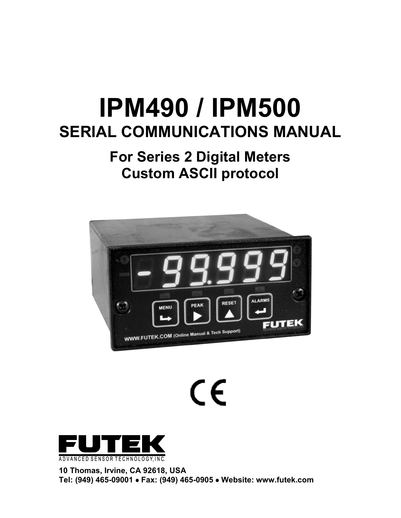# **IPM490 / IPM500 SERIAL COMMUNICATIONS MANUAL**

## **For Series 2 Digital Meters Custom ASCII protocol**



 $\epsilon$ 



**10 Thomas, Irvine, CA 92618, USA Tel: (949) 465-09001** • **Fax: (949) 465-0905** • **Website: www.futek.com**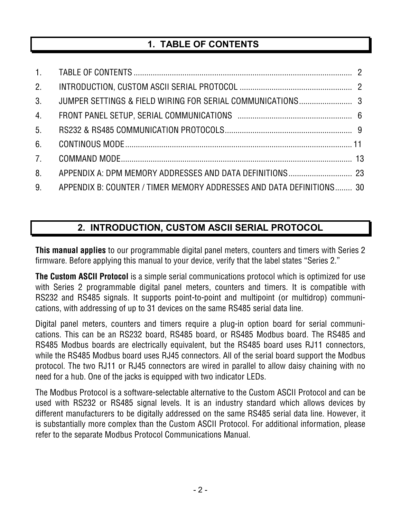## **1. TABLE OF CONTENTS**

| 2.               |                                                                      |  |
|------------------|----------------------------------------------------------------------|--|
| 3 <sub>1</sub>   |                                                                      |  |
| $\overline{4}$ . |                                                                      |  |
| 5 <sub>1</sub>   |                                                                      |  |
| 6.               |                                                                      |  |
| 7 <sup>1</sup>   |                                                                      |  |
| 8 <sub>1</sub>   |                                                                      |  |
| 9.               | APPENDIX B: COUNTER / TIMER MEMORY ADDRESSES AND DATA DEFINITIONS 30 |  |

## **2. INTRODUCTION, CUSTOM ASCII SERIAL PROTOCOL**

**This manual applies** to our programmable digital panel meters, counters and timers with Series 2 firmware. Before applying this manual to your device, verify that the label states "Series 2."

**The Custom ASCII Protocol** is a simple serial communications protocol which is optimized for use with Series 2 programmable digital panel meters, counters and timers. It is compatible with RS232 and RS485 signals. It supports point-to-point and multipoint (or multidrop) communications, with addressing of up to 31 devices on the same RS485 serial data line.

Digital panel meters, counters and timers require a plug-in option board for serial communications. This can be an RS232 board, RS485 board, or RS485 Modbus board. The RS485 and RS485 Modbus boards are electrically equivalent, but the RS485 board uses RJ11 connectors, while the RS485 Modbus board uses RJ45 connectors. All of the serial board support the Modbus protocol. The two RJ11 or RJ45 connectors are wired in parallel to allow daisy chaining with no need for a hub. One of the jacks is equipped with two indicator LEDs.

The Modbus Protocol is a software-selectable alternative to the Custom ASCII Protocol and can be used with RS232 or RS485 signal levels. It is an industry standard which allows devices by different manufacturers to be digitally addressed on the same RS485 serial data line. However, it is substantially more complex than the Custom ASCII Protocol. For additional information, please refer to the separate Modbus Protocol Communications Manual.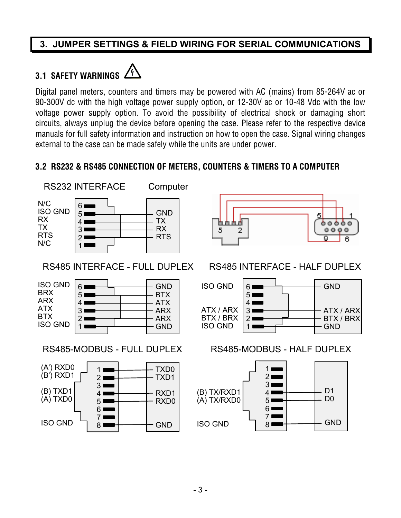## **3. JUMPER SETTINGS & FIELD WIRING FOR SERIAL COMMUNICATIONS**

## **3.1 SAFETY WARNINGS**



Digital panel meters, counters and timers may be powered with AC (mains) from 85-264V ac or 90-300V dc with the high voltage power supply option, or 12-30V ac or 10-48 Vdc with the low voltage power supply option. To avoid the possibility of electrical shock or damaging short circuits, always unplug the device before opening the case. Please refer to the respective device manuals for full safety information and instruction on how to open the case. Signal wiring changes external to the case can be made safely while the units are under power.

5

#### **3.2 RS232 & RS485 CONNECTION OF METERS, COUNTERS & TIMERS TO A COMPUTER**



RS485 INTERFACE - FULL DUPLEX





## RS485 INTERFACE - HALF DUPLEX

5

g

ものあるの

 $0 0 0 0$ 

6



#### RS485-MODBUS - FULL DUPLEX RS485-MODBUS - HALF DUPLEX

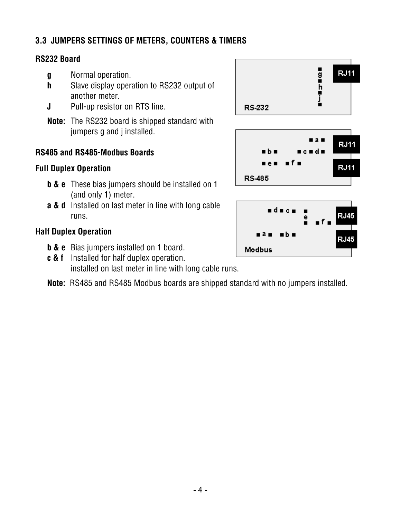#### **3.3 JUMPERS SETTINGS OF METERS, COUNTERS & TIMERS**

#### **RS232 Board**

- **g** Normal operation.
- **h** Slave display operation to RS232 output of another meter.
- **J** Pull-up resistor on RTS line.
- **Note:** The RS232 board is shipped standard with jumpers g and j installed.

#### **RS485 and RS485-Modbus Boards**

#### **Full Duplex Operation**

- **b & e** These bias jumpers should be installed on 1 (and only 1) meter.
- **a & d** Installed on last meter in line with long cable runs.

#### **Half Duplex Operation**

- **b & e** Bias jumpers installed on 1 board.
- **c & f** Installed for half duplex operation. installed on last meter in line with long cable runs.
- **Note:** RS485 and RS485 Modbus boards are shipped standard with no jumpers installed.



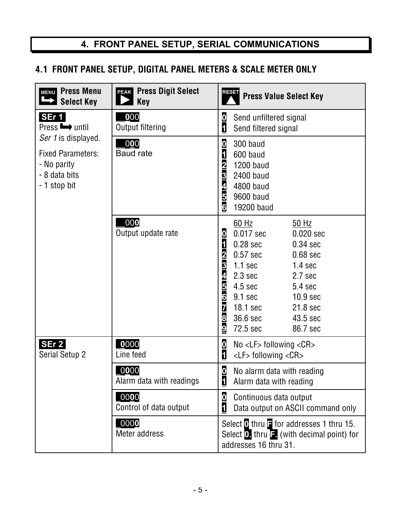## **4. FRONT PANEL SETUP, SERIAL COMMUNICATIONS**

## **4.1 FRONT PANEL SETUP, DIGITAL PANEL METERS & SCALE METER ONLY**

| <b>Press Menu</b><br>MENU<br><b>Select Key</b>                                                  | <b>PEAK</b> Press Digit Select<br><b>Key</b> | <b>RESET</b><br><b>Press Value Select Key</b>                                                                                                                                                                                                                                                                                                                                                                         |
|-------------------------------------------------------------------------------------------------|----------------------------------------------|-----------------------------------------------------------------------------------------------------------------------------------------------------------------------------------------------------------------------------------------------------------------------------------------------------------------------------------------------------------------------------------------------------------------------|
| SEr 1<br>$Press \rightarrow$ until                                                              | 000<br><b>Output filtering</b>               | $\boldsymbol{0}$<br>Send unfiltered signal<br>$\overline{\mathbf{1}}$<br>Send filtered signal                                                                                                                                                                                                                                                                                                                         |
| Ser 1 is displayed.<br><b>Fixed Parameters:</b><br>- No parity<br>- 8 data bits<br>- 1 stop bit | .000<br><b>Baud rate</b>                     | $\bf{0}$<br>300 baud<br>$\overline{1}$<br>600 baud<br>$\overline{2}$<br><b>1200 baud</b><br>$\overline{3}$<br>2400 baud<br>4<br>4800 baud<br>5<br>9600 baud<br>6<br>19200 baud                                                                                                                                                                                                                                        |
|                                                                                                 | 000<br>Output update rate                    | 60 Hz<br>50 Hz<br>$\boldsymbol{0}$<br>0.017 sec<br>0.020 sec<br>$\mathbf{1}$<br>$0.28$ sec<br>$0.34$ sec<br>$\overline{\mathbf{2}}$<br>$0.57$ sec<br>0.68 sec<br>3<br>$1.1$ sec<br>1.4 <sub>sec</sub><br>4<br>$2.3 \text{ sec}$<br>2.7 sec<br>$\frac{5}{6}$<br>4.5 sec<br>5.4 sec<br>9.1 <sub>sec</sub><br>10.9 <sub>sec</sub><br>7<br>18.1 sec<br>21.8 sec<br>8<br>36.6 sec<br>43.5 sec<br>9<br>72.5 sec<br>86.7 sec |
| SEr 2<br>Serial Setup 2                                                                         | 0000<br>Line feed                            | $\boldsymbol{0}$<br>$No < LF$ following $<$ CR $>$<br>$\overline{\mathbf{1}}$<br>$\langle$ LF> following $\langle$ CR>                                                                                                                                                                                                                                                                                                |
|                                                                                                 | [0000]<br>Alarm data with readings           | $\bf{0}$<br>No alarm data with reading<br>$\mathbf{1}$<br>Alarm data with reading                                                                                                                                                                                                                                                                                                                                     |
|                                                                                                 | 0000<br>Control of data output               | $\bf{0}$<br>Continuous data output<br>$\overline{\mathbf{1}}$<br>Data output on ASCII command only                                                                                                                                                                                                                                                                                                                    |
|                                                                                                 | $_{.000}$<br>Meter address                   | Select $\bullet$ thru $\bullet$ for addresses 1 thru 15.<br>Select $\overline{0}$ , thru $\overline{1}$ . (with decimal point) for<br>addresses 16 thru 31.                                                                                                                                                                                                                                                           |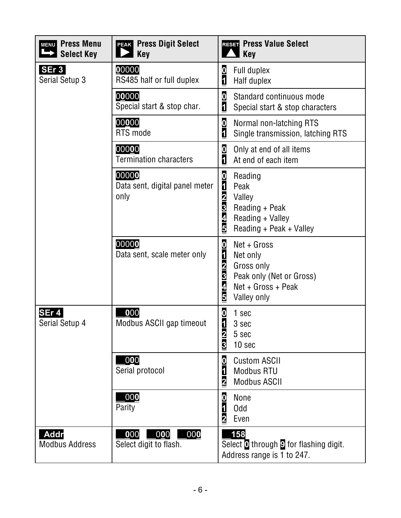| <b>Press Menu</b><br><b>MENU</b><br><b>Select Key</b> | <b>Press Digit Select</b><br><b>PEAK</b><br>$\blacksquare$ Key       | RESET Press Value Select<br>$\blacksquare$ Key                                                                                                                                                             |
|-------------------------------------------------------|----------------------------------------------------------------------|------------------------------------------------------------------------------------------------------------------------------------------------------------------------------------------------------------|
| SEr <sub>3</sub><br>Serial Setup 3                    | 00000<br>RS485 half or full duplex                                   | $\boldsymbol{0}$<br>Full duplex<br>$\overline{\mathbf{1}}$<br>Half duplex                                                                                                                                  |
|                                                       | 00000<br>Special start & stop char.                                  | $\boldsymbol{0}$<br>Standard continuous mode<br>$\overline{\mathbf{1}}$<br>Special start & stop characters                                                                                                 |
|                                                       | 00000<br>RTS mode                                                    | $\frac{0}{1}$<br>Normal non-latching RTS<br>Single transmission, latching RTS                                                                                                                              |
|                                                       | 00000<br><b>Termination characters</b>                               | $\boldsymbol{0}$<br>Only at end of all items<br>$\overline{\mathbf{1}}$<br>At end of each item                                                                                                             |
|                                                       | 00000<br>Data sent, digital panel meter<br>only                      | $\boldsymbol{0}$<br>Reading<br>$\overline{\mathbf{d}}$<br>Peak<br>$\overline{\mathbf{2}}$<br>Valley<br>3<br>Reading + Peak<br>4<br>Reading + Valley<br>5<br>Reading + Peak + Valley                        |
|                                                       | 00000<br>Data sent, scale meter only                                 | $\overline{\mathbf{0}}$<br>$Net + Gross$<br>$\overline{\mathbf{1}}$<br>Net only<br>$\overline{\mathbf{2}}$<br>Gross only<br>3<br>Peak only (Net or Gross)<br>4<br>$Net + Gross + Peak$<br>5<br>Valley only |
| SEr 4<br>Serial Setup 4                               | 000<br>Modbus ASCII gap timeout                                      | $\boldsymbol{0}$<br>1 sec<br>$\overline{\mathbf{1}}$<br>3 sec<br>$\overline{\mathbf{2}}$<br>5 sec<br>3<br>10 sec                                                                                           |
|                                                       | 000<br>Serial protocol                                               | $\boldsymbol{0}$<br><b>Custom ASCII</b><br>$\overline{\mathbf{1}}$<br><b>Modbus RTU</b><br>$\overline{2}$<br><b>Modbus ASCII</b>                                                                           |
|                                                       | 000<br>Parity                                                        | $\boldsymbol{0}$<br>None<br>$\overline{\mathbf{1}}$<br><b>Odd</b><br>$\overline{\mathbf{2}}$<br>Even                                                                                                       |
| <b>Addr</b><br><b>Modbus Address</b>                  | $\_0$ 00 $\_$<br>$\overline{000}$  <br>000<br>Select digit to flash. | 158<br>Select <sup>o</sup> through <b>9</b> for flashing digit.<br>Address range is 1 to 247.                                                                                                              |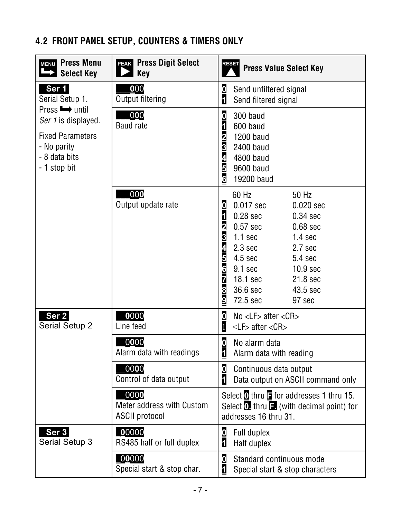## **4.2 FRONT PANEL SETUP, COUNTERS & TIMERS ONLY**

| <b>Press Menu</b><br><b>MENU</b><br><b>Select Key</b>                                                                  | <b>PEAK Press Digit Select</b><br><b>Key</b>               | <b>RESET</b><br><b>Press Value Select Key</b>                                                                                                                                                                                                                                                                                                                                                                                       |
|------------------------------------------------------------------------------------------------------------------------|------------------------------------------------------------|-------------------------------------------------------------------------------------------------------------------------------------------------------------------------------------------------------------------------------------------------------------------------------------------------------------------------------------------------------------------------------------------------------------------------------------|
| Ser 1<br>Serial Setup 1.                                                                                               | 000<br>Output filtering                                    | $\bf{0}$<br>Send unfiltered signal<br>$\overline{\mathbf{1}}$<br>Send filtered signal                                                                                                                                                                                                                                                                                                                                               |
| Press <b>b</b> until<br>Ser 1 is displayed.<br><b>Fixed Parameters</b><br>- No parity<br>- 8 data bits<br>- 1 stop bit | 000<br><b>Baud</b> rate                                    | $\boldsymbol{0}$<br>300 baud<br>$\overline{\mathbf{1}}$<br>600 baud<br>$\overline{2}$<br><b>1200 baud</b><br>3<br>2400 baud<br>4<br>4800 baud<br>5<br>9600 baud<br>6<br>19200 baud                                                                                                                                                                                                                                                  |
|                                                                                                                        | 000<br>Output update rate                                  | $60$ Hz<br>50 Hz<br>0<br>0.017 sec<br>0.020 sec<br>$\overline{\mathbf{1}}$<br>$0.28$ sec<br>$0.34$ sec<br>$\overline{\mathbf{2}}$<br>$0.57$ sec<br>$0.68$ sec<br>3<br>$1.1$ sec<br>1.4 <sub>sec</sub><br>4<br>2.3 <sub>sec</sub><br>2.7 <sub>sec</sub><br>$\overline{\mathbf{5}}$<br>4.5 sec<br>5.4 sec<br>6<br>9.1 sec<br>10.9 <sub>sec</sub><br>7<br>18.1 sec<br>21.8 sec<br>8<br>36.6 sec<br>43.5 sec<br>9<br>72.5 sec<br>97 sec |
| Ser <sub>2</sub><br>Serial Setup 2                                                                                     | 0000<br>Line feed                                          | $\overline{\mathbf{0}}$<br>No $\lt L$ F > after $\lt CR$<br>1<br>$\langle$ LF> after $\langle$ CR>                                                                                                                                                                                                                                                                                                                                  |
|                                                                                                                        | 0000<br>Alarm data with readings                           | $\boldsymbol{0}$<br>No alarm data<br>1<br>Alarm data with reading                                                                                                                                                                                                                                                                                                                                                                   |
|                                                                                                                        | 0000<br>Control of data output                             | $\bf{0}$<br>Continuous data output<br>$\mathbf{1}$<br>Data output on ASCII command only                                                                                                                                                                                                                                                                                                                                             |
|                                                                                                                        | 0000<br>Meter address with Custom<br><b>ASCII protocol</b> | Select $\overline{0}$ thru $\overline{1}$ for addresses 1 thru 15.<br>Select $\Omega$ , thru $\Xi$ (with decimal point) for<br>addresses 16 thru 31.                                                                                                                                                                                                                                                                                |
| Ser 3<br>Serial Setup 3                                                                                                | $_{00000}$<br>RS485 half or full duplex                    | $\boldsymbol{\mathsf{0}}$<br>Full duplex<br>$\overline{1}$<br>Half duplex                                                                                                                                                                                                                                                                                                                                                           |
|                                                                                                                        | $_{.00000}$<br>Special start & stop char.                  | $\bf{0}$<br>Standard continuous mode<br>1<br>Special start & stop characters                                                                                                                                                                                                                                                                                                                                                        |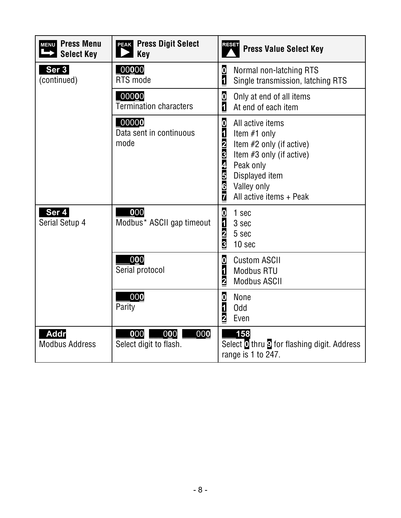| <b>MENU</b> Press Menu<br><b>Select Key</b> | <b>Press Digit Select</b><br><b>PEAK</b><br>$\blacktriangleright$ Key | <b>RESET</b><br><b>Press Value Select Key</b>                                                                                                                                                                                                         |
|---------------------------------------------|-----------------------------------------------------------------------|-------------------------------------------------------------------------------------------------------------------------------------------------------------------------------------------------------------------------------------------------------|
| Ser 3<br>(continued)                        | 00000<br>RTS mode                                                     | $\frac{0}{1}$<br>Normal non-latching RTS<br>Single transmission, latching RTS                                                                                                                                                                         |
|                                             | $_{.00000}$<br><b>Termination characters</b>                          | 0<br>1<br>Only at end of all items<br>At end of each item                                                                                                                                                                                             |
|                                             | $_{0000}$<br>Data sent in continuous<br>mode                          | $\boldsymbol{0}$<br>All active items<br>$\overline{\mathbf{1}}$<br>Item #1 only<br>$\frac{2}{3}$<br>Item #2 only (if active)<br>Item #3 only (if active)<br>4<br>Peak only<br>5<br>6<br>7<br>Displayed item<br>Valley only<br>All active items + Peak |
| Ser 4<br>Serial Setup 4                     | 000<br>Modbus* ASCII gap timeout                                      | $\frac{0}{1}$<br>1 sec<br>3 sec<br>$\frac{2}{3}$<br>5 sec<br>10 sec                                                                                                                                                                                   |
|                                             | 000<br>Serial protocol                                                | $\overline{\mathbf{0}}$<br><b>Custom ASCII</b><br>$\overline{\mathbf{1}}$<br><b>Modbus RTU</b><br>$\overline{\mathbf{2}}$<br><b>Modbus ASCII</b>                                                                                                      |
|                                             | 000<br>Parity                                                         | $\frac{0}{1}$<br><b>None</b><br><b>Odd</b><br>$\overline{\mathbf{2}}$<br>Even                                                                                                                                                                         |
| <b>Addr</b><br><b>Modbus Address</b>        | 000<br>000<br>000<br>Select digit to flash.                           | 158<br>Select <b>O</b> thru <b>D</b> for flashing digit. Address<br>range is 1 to 247.                                                                                                                                                                |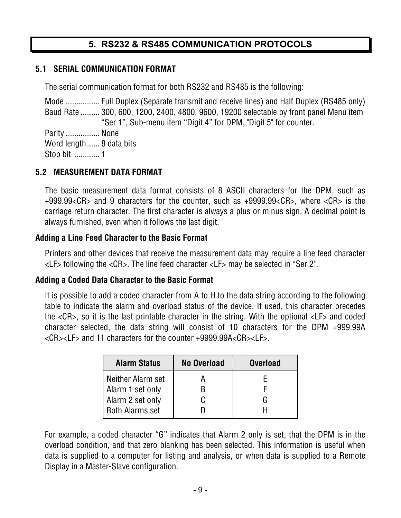## **5. RS232 & RS485 COMMUNICATION PROTOCOLS**

#### **5.1 SERIAL COMMUNICATION FORMAT**

The serial communication format for both RS232 and RS485 is the following:

Mode ................ Full Duplex (Separate transmit and receive lines) and Half Duplex (RS485 only) Baud Rate ......... 300, 600, 1200, 2400, 4800, 9600, 19200 selectable by front panel Menu item "Ser 1", Sub-menu item "Digit 4" for DPM, "Digit 5" for counter.

Parity ................ None Word length ...... 8 data bits Stop bit ............ 1

#### **5.2 MEASUREMENT DATA FORMAT**

The basic measurement data format consists of 8 ASCII characters for the DPM, such as +999.99<CR> and 9 characters for the counter, such as +9999.99<CR>, where <CR> is the carriage return character. The first character is always a plus or minus sign. A decimal point is always furnished, even when it follows the last digit.

#### **Adding a Line Feed Character to the Basic Format**

Printers and other devices that receive the measurement data may require a line feed character <LF> following the <CR>. The line feed character <LF> may be selected in "Ser 2".

#### **Adding a Coded Data Character to the Basic Format**

It is possible to add a coded character from A to H to the data string according to the following table to indicate the alarm and overload status of the device. If used, this character precedes the <CR>, so it is the last printable character in the string. With the optional <LF> and coded character selected, the data string will consist of 10 characters for the DPM +999.99A <CR><LF> and 11 characters for the counter +9999.99A<CR><LF>.

| <b>Alarm Status</b>    | <b>No Overload</b> | <b>Overload</b> |
|------------------------|--------------------|-----------------|
| Neither Alarm set      |                    |                 |
| Alarm 1 set only       |                    |                 |
| Alarm 2 set only       |                    | G               |
| <b>Both Alarms set</b> |                    |                 |

For example, a coded character "G" indicates that Alarm 2 only is set, that the DPM is in the overload condition, and that zero blanking has been selected. This information is useful when data is supplied to a computer for listing and analysis, or when data is supplied to a Remote Display in a Master-Slave configuration.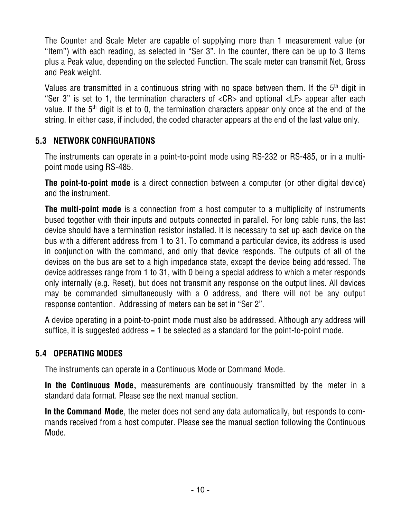The Counter and Scale Meter are capable of supplying more than 1 measurement value (or "Item") with each reading, as selected in "Ser 3". In the counter, there can be up to 3 Items plus a Peak value, depending on the selected Function. The scale meter can transmit Net, Gross and Peak weight.

Values are transmitted in a continuous string with no space between them. If the  $5<sup>th</sup>$  digit in "Ser 3" is set to 1, the termination characters of <CR> and optional <LF> appear after each value. If the 5<sup>th</sup> digit is et to 0, the termination characters appear only once at the end of the string. In either case, if included, the coded character appears at the end of the last value only.

#### **5.3 NETWORK CONFIGURATIONS**

The instruments can operate in a point-to-point mode using RS-232 or RS-485, or in a multipoint mode using RS-485.

**The point-to-point mode** is a direct connection between a computer (or other digital device) and the instrument.

**The multi-point mode** is a connection from a host computer to a multiplicity of instruments bused together with their inputs and outputs connected in parallel. For long cable runs, the last device should have a termination resistor installed. It is necessary to set up each device on the bus with a different address from 1 to 31. To command a particular device, its address is used in conjunction with the command, and only that device responds. The outputs of all of the devices on the bus are set to a high impedance state, except the device being addressed. The device addresses range from 1 to 31, with 0 being a special address to which a meter responds only internally (e.g. Reset), but does not transmit any response on the output lines. All devices may be commanded simultaneously with a 0 address, and there will not be any output response contention. Addressing of meters can be set in "Ser 2".

A device operating in a point-to-point mode must also be addressed. Although any address will suffice, it is suggested address = 1 be selected as a standard for the point-to-point mode.

#### **5.4 OPERATING MODES**

The instruments can operate in a Continuous Mode or Command Mode.

**In the Continuous Mode,** measurements are continuously transmitted by the meter in a standard data format. Please see the next manual section.

**In the Command Mode**, the meter does not send any data automatically, but responds to commands received from a host computer. Please see the manual section following the Continuous Mode.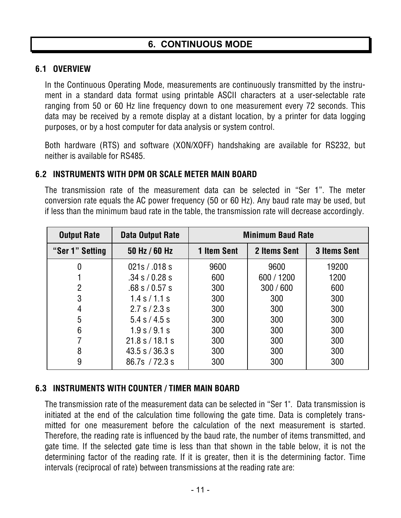#### **6.1 OVERVIEW**

In the Continuous Operating Mode, measurements are continuously transmitted by the instrument in a standard data format using printable ASCII characters at a user-selectable rate ranging from 50 or 60 Hz line frequency down to one measurement every 72 seconds. This data may be received by a remote display at a distant location, by a printer for data logging purposes, or by a host computer for data analysis or system control.

Both hardware (RTS) and software (XON/XOFF) handshaking are available for RS232, but neither is available for RS485.

#### **6.2 INSTRUMENTS WITH DPM OR SCALE METER MAIN BOARD**

The transmission rate of the measurement data can be selected in "Ser 1". The meter conversion rate equals the AC power frequency (50 or 60 Hz). Any baud rate may be used, but if less than the minimum baud rate in the table, the transmission rate will decrease accordingly.

| <b>Output Rate</b> | Data Output Rate   | <b>Minimum Baud Rate</b> |              |                     |  |
|--------------------|--------------------|--------------------------|--------------|---------------------|--|
| "Ser 1" Setting    | 50 Hz / 60 Hz      | <b>1 Item Sent</b>       | 2 Items Sent | <b>3 Items Sent</b> |  |
|                    | 021s / .018s       | 9600                     | 9600         | 19200               |  |
|                    | $.34$ s / 0.28 s   | 600                      | 600 / 1200   | 1200                |  |
| $\overline{2}$     | $.68$ s $/ 0.57$ s | 300                      | 300/600      | 600                 |  |
| 3                  | $1.4$ s $/1.1$ s   | 300                      | 300          | 300                 |  |
| 4                  | 2.7 s / 2.3 s      | 300                      | 300          | 300                 |  |
| 5                  | 5.4 s / 4.5 s      | 300                      | 300          | 300                 |  |
| 6                  | 1.9 s / 9.1 s      | 300                      | 300          | 300                 |  |
|                    | 21.8 s / 18.1 s    | 300                      | 300          | 300                 |  |
| 8                  | $43.5$ s / 36.3 s  | 300                      | 300          | 300                 |  |
| 9                  | 86.7s / 72.3 s     | 300                      | 300          | 300                 |  |

#### **6.3 INSTRUMENTS WITH COUNTER / TIMER MAIN BOARD**

The transmission rate of the measurement data can be selected in "Ser 1". Data transmission is initiated at the end of the calculation time following the gate time. Data is completely transmitted for one measurement before the calculation of the next measurement is started. Therefore, the reading rate is influenced by the baud rate, the number of items transmitted, and gate time. If the selected gate time is less than that shown in the table below, it is not the determining factor of the reading rate. If it is greater, then it is the determining factor. Time intervals (reciprocal of rate) between transmissions at the reading rate are: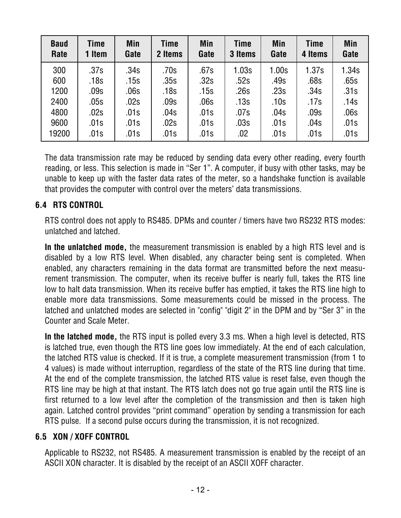| <b>Baud</b><br>Rate | Time<br>1 Item | Min<br>Gate | Time<br>2 Items | Min<br>Gate | Time<br>3 Items | <b>Min</b><br>Gate | Time<br>4 Items | <b>Min</b><br>Gate |
|---------------------|----------------|-------------|-----------------|-------------|-----------------|--------------------|-----------------|--------------------|
| 300                 | .37s           | .34s        | .70s            | .67s        | 1.03s           | 1.00s              | 1.37s           | 1.34s              |
| 600                 | .18s           | .15s        | .35s            | .32s        | .52s            | .49s               | .68s            | .65s               |
| 1200                | .09s           | .06s        | .18s            | .15s        | .26s            | .23s               | .34s            | .31s               |
| 2400                | .05s           | .02s        | .09s            | .06s        | .13s            | .10s               | .17s            | .14s               |
| 4800                | .02s           | .01s        | .04s            | .01s        | .07s            | .04s               | .09s            | .06s               |
| 9600                | .01s           | .01s        | .02s            | .01s        | .03s            | .01s               | .04s            | .01s               |
| 19200               | .01s           | .01s        | .01s            | .01s        | .02             | .01s               | .01s            | .01s               |

The data transmission rate may be reduced by sending data every other reading, every fourth reading, or less. This selection is made in "Ser 1". A computer, if busy with other tasks, may be unable to keep up with the faster data rates of the meter, so a handshake function is available that provides the computer with control over the meters' data transmissions.

#### **6.4 RTS CONTROL**

RTS control does not apply to RS485. DPMs and counter / timers have two RS232 RTS modes: unlatched and latched.

**In the unlatched mode,** the measurement transmission is enabled by a high RTS level and is disabled by a low RTS level. When disabled, any character being sent is completed. When enabled, any characters remaining in the data format are transmitted before the next measurement transmission. The computer, when its receive buffer is nearly full, takes the RTS line low to halt data transmission. When its receive buffer has emptied, it takes the RTS line high to enable more data transmissions. Some measurements could be missed in the process. The latched and unlatched modes are selected in "config" "digit 2" in the DPM and by "Ser 3" in the Counter and Scale Meter.

**In the latched mode,** the RTS input is polled every 3.3 ms. When a high level is detected, RTS is latched true, even though the RTS line goes low immediately. At the end of each calculation, the latched RTS value is checked. If it is true, a complete measurement transmission (from 1 to 4 values) is made without interruption, regardless of the state of the RTS line during that time. At the end of the complete transmission, the latched RTS value is reset false, even though the RTS line may be high at that instant. The RTS latch does not go true again until the RTS line is first returned to a low level after the completion of the transmission and then is taken high again. Latched control provides "print command" operation by sending a transmission for each RTS pulse. If a second pulse occurs during the transmission, it is not recognized.

#### **6.5 XON / XOFF CONTROL**

Applicable to RS232, not RS485. A measurement transmission is enabled by the receipt of an ASCII XON character. It is disabled by the receipt of an ASCII XOFF character.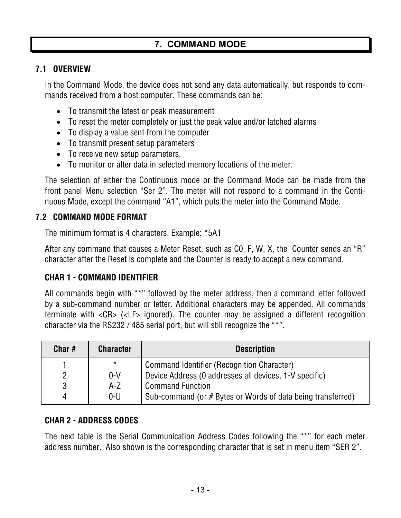## **7. COMMAND MODE**

#### **7.1 OVERVIEW**

In the Command Mode, the device does not send any data automatically, but responds to commands received from a host computer. These commands can be:

- To transmit the latest or peak measurement
- To reset the meter completely or just the peak value and/or latched alarms
- To display a value sent from the computer
- To transmit present setup parameters
- To receive new setup parameters,
- To monitor or alter data in selected memory locations of the meter.

The selection of either the Continuous mode or the Command Mode can be made from the front panel Menu selection "Ser 2". The meter will not respond to a command in the Continuous Mode, except the command "A1", which puts the meter into the Command Mode.

#### **7.2 COMMAND MODE FORMAT**

The minimum format is 4 characters. Example: \*5A1

After any command that causes a Meter Reset, such as C0, F, W, X, the Counter sends an "R" character after the Reset is complete and the Counter is ready to accept a new command.

#### **CHAR 1 - COMMAND IDENTIFIER**

All commands begin with "\*" followed by the meter address, then a command letter followed by a sub-command number or letter. Additional characters may be appended. All commands terminate with <CR> (<LF> ignored). The counter may be assigned a different recognition character via the RS232 / 485 serial port, but will still recognize the "\*".

| Char# | <b>Character</b> | <b>Description</b>                                          |
|-------|------------------|-------------------------------------------------------------|
|       | $\star$          | Command Identifier (Recognition Character)                  |
|       | $0-V$            | Device Address (0 addresses all devices, 1-V specific)      |
| 3     | $A-Z$            | Command Function                                            |
| 4     | $0 - U$          | Sub-command (or # Bytes or Words of data being transferred) |

#### **CHAR 2 - ADDRESS CODES**

The next table is the Serial Communication Address Codes following the "\*" for each meter address number. Also shown is the corresponding character that is set in menu item "SER 2".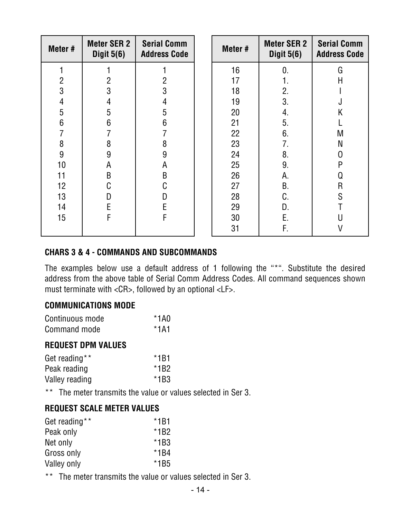| Meter #          | <b>Meter SER 2</b><br>Digit $5(6)$ | <b>Serial Comm</b><br><b>Address Code</b> | Meter # | <b>Meter SER 2</b><br>Digit $5(6)$ | <b>Serial Comm</b><br><b>Address Code</b> |
|------------------|------------------------------------|-------------------------------------------|---------|------------------------------------|-------------------------------------------|
|                  |                                    |                                           | 16      | 0.                                 | G                                         |
| $\overline{c}$   | 2                                  | $\overline{2}$                            | 17      | 1.                                 | Н                                         |
| 3                | 3                                  | 3                                         | 18      | 2.                                 |                                           |
| $\overline{4}$   | 4                                  | 4                                         | 19      | 3.                                 | J                                         |
| 5                | 5                                  | 5                                         | 20      | 4.                                 | K                                         |
| $6\phantom{1}$   | 6                                  | $6\phantom{1}6$                           | 21      | 5.                                 |                                           |
| 7                |                                    |                                           | 22      | 6.                                 | M                                         |
| 8                | 8                                  | 8                                         | 23      | 7.                                 | N                                         |
| $\boldsymbol{9}$ | 9                                  | 9                                         | 24      | 8.                                 | 0                                         |
| 10               | А                                  | A                                         | 25      | 9.                                 | P                                         |
| 11               | B                                  | B                                         | 26      | А.                                 | Q                                         |
| 12               | C                                  | C                                         | 27      | <b>B.</b>                          | $\mathsf{R}$                              |
| 13               | D                                  | D                                         | 28      | C.                                 | S                                         |
| 14               | E                                  | E                                         | 29      | D.                                 |                                           |
| 15               | F                                  | F                                         | 30      | Ε.                                 |                                           |
|                  |                                    |                                           | 31      | F.                                 |                                           |

#### **CHARS 3 & 4 - COMMANDS AND SUBCOMMANDS**

The examples below use a default address of 1 following the "\*". Substitute the desired address from the above table of Serial Comm Address Codes. All command sequences shown must terminate with <CR>, followed by an optional <LF>.

#### **COMMUNICATIONS MODE**

| Continuous mode | $*1A0$ |
|-----------------|--------|
| Command mode    | $*1A1$ |

#### **REQUEST DPM VALUES**

| Get reading**  | $*1B1$ |
|----------------|--------|
| Peak reading   | $*1B2$ |
| Valley reading | $*1B3$ |

\*\* The meter transmits the value or values selected in Ser 3.

#### **REQUEST SCALE METER VALUES**

| Get reading** | $*1B1$ |
|---------------|--------|
| Peak only     | $*1B2$ |
| Net only      | $*1B3$ |
| Gross only    | $*1B4$ |
| Valley only   | $*1B5$ |

\*\* The meter transmits the value or values selected in Ser 3.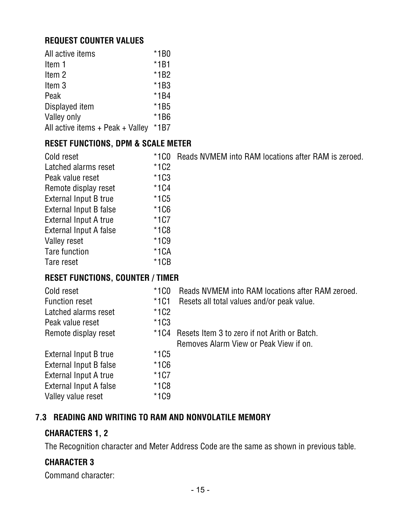#### **REQUEST COUNTER VALUES**

| All active items                     | $*1B0$ |
|--------------------------------------|--------|
| Item 1                               | $*1B1$ |
| Item 2                               | $*1B2$ |
| Item 3                               | $*1B3$ |
| Peak                                 | $*1B4$ |
| Displayed item                       | $*1B5$ |
| Valley only                          | $*1B6$ |
| All active items $+$ Peak $+$ Valley | $*1B7$ |

#### **RESET FUNCTIONS, DPM & SCALE METER**

| Cold reset             | $*100$ | Reads NVMEM into RAM locations after RAM is zeroed. |
|------------------------|--------|-----------------------------------------------------|
| Latched alarms reset   | $*1C2$ |                                                     |
| Peak value reset       | $*1C3$ |                                                     |
| Remote display reset   | $*1C4$ |                                                     |
| External Input B true  | $*1C5$ |                                                     |
| External Input B false | $*1C6$ |                                                     |
| External Input A true  | $*1C7$ |                                                     |
| External Input A false | $*1C8$ |                                                     |
| Valley reset           | $*1C9$ |                                                     |
| Tare function          | $*1CA$ |                                                     |
| Tare reset             | $*1CB$ |                                                     |

#### **RESET FUNCTIONS, COUNTER / TIMER**

| Cold reset             | $*1C0$ | Reads NVMEM into RAM locations after RAM zeroed.  |
|------------------------|--------|---------------------------------------------------|
| <b>Function reset</b>  | $*1C1$ | Resets all total values and/or peak value.        |
| Latched alarms reset   | $*1C2$ |                                                   |
| Peak value reset       | $*1C3$ |                                                   |
| Remote display reset   |        | *1C4 Resets Item 3 to zero if not Arith or Batch. |
|                        |        | Removes Alarm View or Peak View if on.            |
| External Input B true  | $*1C5$ |                                                   |
| External Input B false | $*1C6$ |                                                   |
| External Input A true  | $*1C7$ |                                                   |
| External Input A false | $*1C8$ |                                                   |
| Valley value reset     | $*1C9$ |                                                   |

#### **7.3 READING AND WRITING TO RAM AND NONVOLATILE MEMORY**

#### **CHARACTERS 1, 2**

The Recognition character and Meter Address Code are the same as shown in previous table.

#### **CHARACTER 3**

Command character: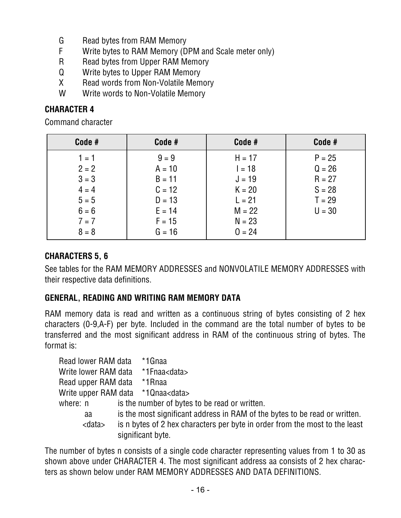- G Read bytes from RAM Memory
- F Write bytes to RAM Memory (DPM and Scale meter only)
- R Read bytes from Upper RAM Memory
- Q Write bytes to Upper RAM Memory
- X Read words from Non-Volatile Memory
- W Write words to Non-Volatile Memory

#### **CHARACTER 4**

Command character

| Code #                                                                               | Code #                                                                                      | Code #                                                                                       | Code #                                                               |
|--------------------------------------------------------------------------------------|---------------------------------------------------------------------------------------------|----------------------------------------------------------------------------------------------|----------------------------------------------------------------------|
| $1 = 1$<br>$2 = 2$<br>$3 = 3$<br>$4 = 4$<br>$5 = 5$<br>$6 = 6$<br>$7 = 7$<br>$8 = 8$ | $9 = 9$<br>$A = 10$<br>$B = 11$<br>$C = 12$<br>$D = 13$<br>$E = 14$<br>$F = 15$<br>$G = 16$ | $H = 17$<br>$I = 18$<br>$J = 19$<br>$K = 20$<br>$L = 21$<br>$M = 22$<br>$N = 23$<br>$0 = 24$ | $P = 25$<br>$Q = 26$<br>$R = 27$<br>$S = 28$<br>$T = 29$<br>$U = 30$ |

#### **CHARACTERS 5, 6**

See tables for the RAM MEMORY ADDRESSES and NONVOLATILE MEMORY ADDRESSES with their respective data definitions.

#### **GENERAL, READING AND WRITING RAM MEMORY DATA**

RAM memory data is read and written as a continuous string of bytes consisting of 2 hex characters (0-9,A-F) per byte. Included in the command are the total number of bytes to be transferred and the most significant address in RAM of the continuous string of bytes. The format is:

| Read lower RAM data                       | *1Gnaa                                                                      |
|-------------------------------------------|-----------------------------------------------------------------------------|
| Write lower RAM data *1Fnaa <data></data> |                                                                             |
| Read upper RAM data *1Rnaa                |                                                                             |
| Write upper RAM data *1Qnaa <data></data> |                                                                             |
| where: n                                  | is the number of bytes to be read or written.                               |
| aa                                        | is the most significant address in RAM of the bytes to be read or written.  |
| <data></data>                             | is n bytes of 2 hex characters per byte in order from the most to the least |
|                                           | significant byte.                                                           |

The number of bytes n consists of a single code character representing values from 1 to 30 as shown above under CHARACTER 4. The most significant address aa consists of 2 hex characters as shown below under RAM MEMORY ADDRESSES AND DATA DEFINITIONS.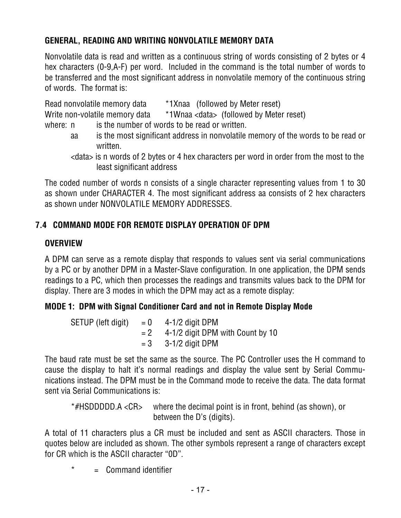## **GENERAL, READING AND WRITING NONVOLATILE MEMORY DATA**

Nonvolatile data is read and written as a continuous string of words consisting of 2 bytes or 4 hex characters (0-9,A-F) per word. Included in the command is the total number of words to be transferred and the most significant address in nonvolatile memory of the continuous string of words. The format is:

|          | *1Xnaa (followed by Meter reset)<br>Read nonvolatile memory data                                                             |
|----------|------------------------------------------------------------------------------------------------------------------------------|
|          | *1Wnaa <data> (followed by Meter reset)<br/>Write non-volatile memory data</data>                                            |
| where: n | is the number of words to be read or written.                                                                                |
| aa       | is the most significant address in nonvolatile memory of the words to be read or<br>written.                                 |
|          | <data> is n words of 2 bytes or 4 hex characters per word in order from the most to the<br/>least significant address</data> |

The coded number of words n consists of a single character representing values from 1 to 30 as shown under CHARACTER 4. The most significant address aa consists of 2 hex characters as shown under NONVOLATILE MEMORY ADDRESSES.

### **7.4 COMMAND MODE FOR REMOTE DISPLAY OPERATION OF DPM**

#### **OVERVIEW**

A DPM can serve as a remote display that responds to values sent via serial communications by a PC or by another DPM in a Master-Slave configuration. In one application, the DPM sends readings to a PC, which then processes the readings and transmits values back to the DPM for display. There are 3 modes in which the DPM may act as a remote display:

#### **MODE 1: DPM with Signal Conditioner Card and not in Remote Display Mode**

| SETUP (left digit) | $= 0$ 4-1/2 digit DPM                  |
|--------------------|----------------------------------------|
|                    | $= 2$ 4-1/2 digit DPM with Count by 10 |
|                    | $= 3$ 3-1/2 digit DPM                  |

The baud rate must be set the same as the source. The PC Controller uses the H command to cause the display to halt it's normal readings and display the value sent by Serial Communications instead. The DPM must be in the Command mode to receive the data. The data format sent via Serial Communications is:

```
*#HSDDDDD.A <CR> where the decimal point is in front, behind (as shown), or 
           between the D's (digits).
```
A total of 11 characters plus a CR must be included and sent as ASCII characters. Those in quotes below are included as shown. The other symbols represent a range of characters except for CR which is the ASCII character "0D".

 $=$  Command identifier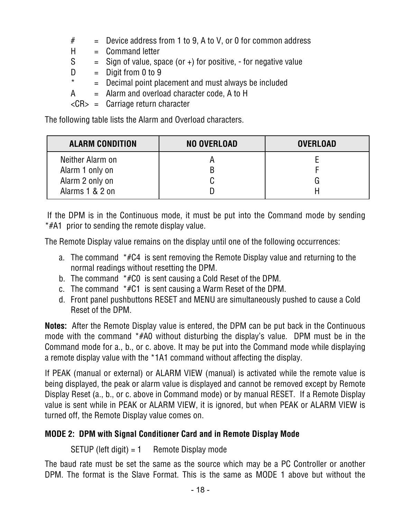- $#$  = Device address from 1 to 9, A to V, or 0 for common address
- $H =$  Command letter
- $S =$  Sign of value, space (or +) for positive, for negative value
- $D =$  Digit from 0 to 9
- $*$  = Decimal point placement and must always be included
- $A =$  Alarm and overload character code, A to H

<CR> = Carriage return character

The following table lists the Alarm and Overload characters.

| <b>ALARM CONDITION</b> | NO OVERLOAD | <b>OVERLOAD</b> |
|------------------------|-------------|-----------------|
| Neither Alarm on       |             |                 |
| Alarm 1 only on        |             |                 |
| Alarm 2 only on        |             |                 |
| Alarms 1 & 2 on        |             |                 |

 If the DPM is in the Continuous mode, it must be put into the Command mode by sending \*#A1 prior to sending the remote display value.

The Remote Display value remains on the display until one of the following occurrences:

- a. The command \*#C4 is sent removing the Remote Display value and returning to the normal readings without resetting the DPM.
- b. The command \*#C0 is sent causing a Cold Reset of the DPM.
- c. The command \*#C1 is sent causing a Warm Reset of the DPM.
- d. Front panel pushbuttons RESET and MENU are simultaneously pushed to cause a Cold Reset of the DPM.

**Notes:** After the Remote Display value is entered, the DPM can be put back in the Continuous mode with the command \*#A0 without disturbing the display's value. DPM must be in the Command mode for a., b., or c. above. It may be put into the Command mode while displaying a remote display value with the \*1A1 command without affecting the display.

If PEAK (manual or external) or ALARM VIEW (manual) is activated while the remote value is being displayed, the peak or alarm value is displayed and cannot be removed except by Remote Display Reset (a., b., or c. above in Command mode) or by manual RESET. If a Remote Display value is sent while in PEAK or ALARM VIEW, it is ignored, but when PEAK or ALARM VIEW is turned off, the Remote Display value comes on.

### **MODE 2: DPM with Signal Conditioner Card and in Remote Display Mode**

SETUP (left digit)  $= 1$  Remote Display mode

The baud rate must be set the same as the source which may be a PC Controller or another DPM. The format is the Slave Format. This is the same as MODE 1 above but without the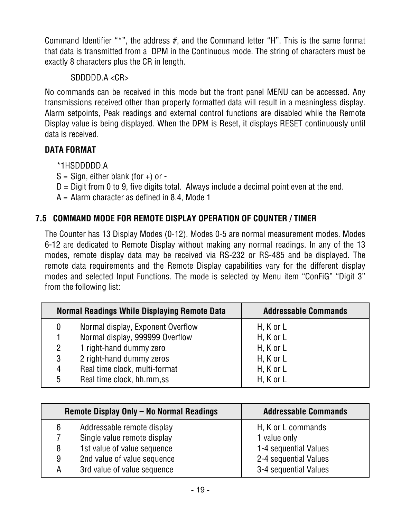Command Identifier "\*", the address #, and the Command letter "H". This is the same format that data is transmitted from a DPM in the Continuous mode. The string of characters must be exactly 8 characters plus the CR in length.

#### SDDDDD.A <CR>

No commands can be received in this mode but the front panel MENU can be accessed. Any transmissions received other than properly formatted data will result in a meaningless display. Alarm setpoints, Peak readings and external control functions are disabled while the Remote Display value is being displayed. When the DPM is Reset, it displays RESET continuously until data is received.

#### **DATA FORMAT**

#### \*1HSDDDDD.A

 $S =$  Sign, either blank (for +) or -

 $D =$  Digit from 0 to 9, five digits total. Always include a decimal point even at the end.

 $A =$  Alarm character as defined in 8.4, Mode 1

#### **7.5 COMMAND MODE FOR REMOTE DISPLAY OPERATION OF COUNTER / TIMER**

The Counter has 13 Display Modes (0-12). Modes 0-5 are normal measurement modes. Modes 6-12 are dedicated to Remote Display without making any normal readings. In any of the 13 modes, remote display data may be received via RS-232 or RS-485 and be displayed. The remote data requirements and the Remote Display capabilities vary for the different display modes and selected Input Functions. The mode is selected by Menu item "ConFiG" "Digit 3" from the following list:

|                | <b>Normal Readings While Displaying Remote Data</b> | <b>Addressable Commands</b> |
|----------------|-----------------------------------------------------|-----------------------------|
| 0              | Normal display, Exponent Overflow                   | $H, K$ or $L$               |
|                | Normal display, 999999 Overflow                     | $H,$ K or L                 |
| $\overline{2}$ | 1 right-hand dummy zero                             | $H, K$ or $L$               |
| 3              | 2 right-hand dummy zeros                            | $H, K$ or $L$               |
| 4              | Real time clock, multi-format                       | $H, K$ or $L$               |
| 5              | Real time clock, hh.mm,ss                           | $H, K$ or $L$               |

|   | Remote Display Only - No Normal Readings | <b>Addressable Commands</b> |
|---|------------------------------------------|-----------------------------|
| 6 | Addressable remote display               | H, K or L commands          |
|   | Single value remote display              | 1 value only                |
| 8 | 1st value of value sequence              | 1-4 sequential Values       |
| 9 | 2nd value of value sequence              | 2-4 sequential Values       |
| А | 3rd value of value sequence              | 3-4 sequential Values       |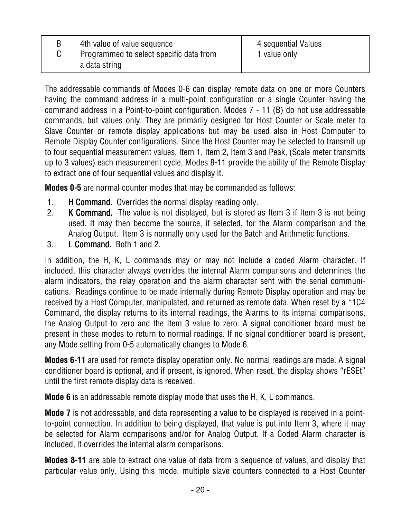| 4th value of value sequence                              | 4 sequential Values |
|----------------------------------------------------------|---------------------|
| Programmed to select specific data from<br>a data string | 1 value only        |
|                                                          |                     |

The addressable commands of Modes 0-6 can display remote data on one or more Counters having the command address in a multi-point configuration or a single Counter having the command address in a Point-to-point configuration. Modes 7 - 11 (B) do not use addressable commands, but values only. They are primarily designed for Host Counter or Scale meter to Slave Counter or remote display applications but may be used also in Host Computer to Remote Display Counter configurations. Since the Host Counter may be selected to transmit up to four sequential measurement values, Item 1, Item 2, Item 3 and Peak, (Scale meter transmits up to 3 values) each measurement cycle, Modes 8-11 provide the ability of the Remote Display to extract one of four sequential values and display it.

**Modes 0-5** are normal counter modes that may be commanded as follows:

- 1. **H Command.** Overrides the normal display reading only.
- 2. K Command. The value is not displayed, but is stored as Item 3 if Item 3 is not being used. It may then become the source, if selected, for the Alarm comparison and the Analog Output. Item 3 is normally only used for the Batch and Arithmetic functions.
- 3. L Command. Both 1 and 2.

In addition, the H, K, L commands may or may not include a coded Alarm character. If included, this character always overrides the internal Alarm comparisons and determines the alarm indicators, the relay operation and the alarm character sent with the serial communications. Readings continue to be made internally during Remote Display operation and may be received by a Host Computer, manipulated, and returned as remote data. When reset by a \*1C4 Command, the display returns to its internal readings, the Alarms to its internal comparisons, the Analog Output to zero and the Item 3 value to zero. A signal conditioner board must be present in these modes to return to normal readings. If no signal conditioner board is present, any Mode setting from 0-5 automatically changes to Mode 6.

**Modes 6-11** are used for remote display operation only. No normal readings are made. A signal conditioner board is optional, and if present, is ignored. When reset, the display shows "rESEt" until the first remote display data is received.

**Mode 6** is an addressable remote display mode that uses the H, K, L commands.

**Mode 7** is not addressable, and data representing a value to be displayed is received in a pointto-point connection. In addition to being displayed, that value is put into Item 3, where it may be selected for Alarm comparisons and/or for Analog Output. If a Coded Alarm character is included, it overrides the internal alarm comparisons.

**Modes 8-11** are able to extract one value of data from a sequence of values, and display that particular value only. Using this mode, multiple slave counters connected to a Host Counter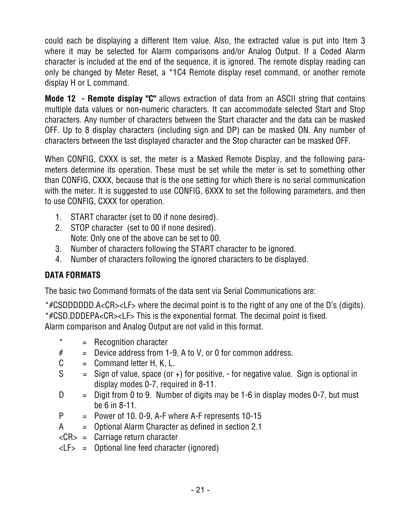could each be displaying a different Item value. Also, the extracted value is put into Item 3 where it may be selected for Alarm comparisons and/or Analog Output. If a Coded Alarm character is included at the end of the sequence, it is ignored. The remote display reading can only be changed by Meter Reset, a \*1C4 Remote display reset command, or another remote display H or L command.

**Mode 12 - Remote display "C"** allows extraction of data from an ASCII string that contains multiple data values or non-numeric characters. It can accommodate selected Start and Stop characters. Any number of characters between the Start character and the data can be masked OFF. Up to 8 display characters (including sign and DP) can be masked ON. Any number of characters between the last displayed character and the Stop character can be masked OFF.

When CONFIG, CXXX is set, the meter is a Masked Remote Display, and the following parameters determine its operation. These must be set while the meter is set to something other than CONFIG, CXXX, because that is the one setting for which there is no serial communication with the meter. It is suggested to use CONFIG, 6XXX to set the following parameters, and then to use CONFIG, CXXX for operation.

- 1. START character (set to 00 if none desired).
- 2. STOP character (set to 00 if none desired). Note: Only one of the above can be set to 00.
- 3. Number of characters following the START character to be ignored.
- 4. Number of characters following the ignored characters to be displayed.

#### **DATA FORMATS**

The basic two Command formats of the data sent via Serial Communications are:

\*#CSDDDDDD.A<CR><LF> where the decimal point is to the right of any one of the D's (digits). \*#CSD.DDDEPA<CR><LF> This is the exponential format. The decimal point is fixed. Alarm comparison and Analog Output are not valid in this format.

- $* = Recognition character$
- $#$  = Device address from 1-9, A to V, or 0 for common address.
- $C =$  Command letter H, K, L.
- $S =$  Sign of value, space (or  $+$ ) for positive,  $-$  for negative value. Sign is optional in display modes 0-7, required in 8-11.
- $D =$  Digit from 0 to 9. Number of digits may be 1-6 in display modes 0-7, but must be 6 in 8-11.
- $P = Power of 10. 0-9, A-F where A-F represents 10-15$
- A = Optional Alarm Character as defined in section 2.1
- $\langle CR \rangle$  = Carriage return character
- $\langle LF \rangle$  = Optional line feed character (ignored)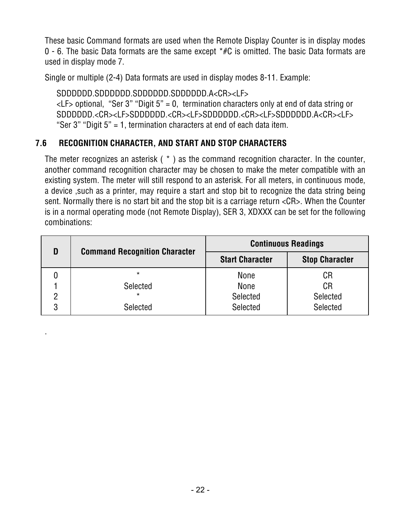These basic Command formats are used when the Remote Display Counter is in display modes 0 - 6. The basic Data formats are the same except  $*$ #C is omitted. The basic Data formats are used in display mode 7.

Single or multiple (2-4) Data formats are used in display modes 8-11. Example:

SDDDDDD.SDDDDDD.SDDDDDD.SDDDDDD.A<CR><LF>  $\langle$ LF> optional, "Ser 3" "Digit 5" = 0, termination characters only at end of data string or SDDDDDD.<CR><LF>SDDDDDD.<CR><LF>SDDDDDD.<CR><LF>SDDDDDD.A<CR><LF> "Ser 3" "Digit 5" = 1, termination characters at end of each data item.

#### **7.6 RECOGNITION CHARACTER, AND START AND STOP CHARACTERS**

.

The meter recognizes an asterisk ( \* ) as the command recognition character. In the counter, another command recognition character may be chosen to make the meter compatible with an existing system. The meter will still respond to an asterisk. For all meters, in continuous mode, a device ,such as a printer, may require a start and stop bit to recognize the data string being sent. Normally there is no start bit and the stop bit is a carriage return <CR>. When the Counter is in a normal operating mode (not Remote Display), SER 3, XDXXX can be set for the following combinations:

| D |                                      | <b>Continuous Readings</b> |                       |  |  |  |  |
|---|--------------------------------------|----------------------------|-----------------------|--|--|--|--|
|   | <b>Command Recognition Character</b> | <b>Start Character</b>     | <b>Stop Character</b> |  |  |  |  |
|   | $\star$                              | None                       | CR                    |  |  |  |  |
|   | Selected                             | None                       | CR                    |  |  |  |  |
|   | $\star$                              | Selected                   | <b>Selected</b>       |  |  |  |  |
|   | Selected                             | Selected                   | Selected              |  |  |  |  |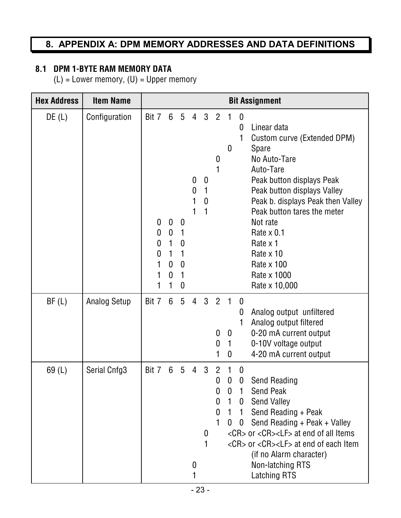## **8. APPENDIX A: DPM MEMORY ADDRESSES AND DATA DEFINITIONS**

#### **8.1 DPM 1-BYTE RAM MEMORY DATA**

(L) = Lower memory, (U) = Upper memory

| <b>Hex Address</b> | <b>Item Name</b>    |                                          |                                                                                                    |                                                         |                                              |                                                           |                                                   |                                                                                  |                                                             | <b>Bit Assignment</b>                                                                                                                                                                                                                                                                                                    |
|--------------------|---------------------|------------------------------------------|----------------------------------------------------------------------------------------------------|---------------------------------------------------------|----------------------------------------------|-----------------------------------------------------------|---------------------------------------------------|----------------------------------------------------------------------------------|-------------------------------------------------------------|--------------------------------------------------------------------------------------------------------------------------------------------------------------------------------------------------------------------------------------------------------------------------------------------------------------------------|
| DE(L)              | Configuration       | Bit 7<br>0<br>0<br>$\boldsymbol{0}$<br>0 | $6\phantom{1}6$<br>$\bf{0}$<br>$\mathbf 0$<br>$\mathbf{1}$<br>1<br>$\mathbf 0$<br>$\boldsymbol{0}$ | $5\phantom{.0}$<br>0<br>1<br>$\mathbf 0$<br>1<br>0<br>0 | $\overline{4}$<br>0<br>$\boldsymbol{0}$<br>1 | $\mathbf{3}$<br>$\boldsymbol{0}$<br>1<br>$\boldsymbol{0}$ | $\overline{2}$<br>$\boldsymbol{0}$                | 0                                                                                | $\mathbf{0}$<br>0<br>1                                      | Linear data<br>Custom curve (Extended DPM)<br>Spare<br>No Auto-Tare<br>Auto-Tare<br>Peak button displays Peak<br>Peak button displays Valley<br>Peak b. displays Peak then Valley<br>Peak button tares the meter<br>Not rate<br>Rate $\times$ 0.1<br>Rate x 1<br>Rate x 10<br>Rate x 100<br>Rate x 1000<br>Rate x 10,000 |
| BF(L)              | <b>Analog Setup</b> | Bit 7                                    | $6\phantom{1}$                                                                                     | 5                                                       | $\overline{4}$                               | $\mathbf{3}$                                              | $\overline{2}$<br>$\boldsymbol{0}$<br>$\mathbf 0$ | $\blacksquare$ 1<br>$\boldsymbol{0}$<br>$\mathbf{1}$<br>0                        | $\boldsymbol{0}$<br>0                                       | Analog output unfiltered<br>Analog output filtered<br>0-20 mA current output<br>0-10V voltage output<br>4-20 mA current output                                                                                                                                                                                           |
| 69(L)              | Serial Cnfg3        | Bit 7                                    | 6                                                                                                  | 5                                                       | 4<br>0                                       | 3<br>0                                                    | $\overline{2}$<br>0<br>0<br>0<br>0                | $\boldsymbol{0}$<br>$\mathbf{0}$<br>$\mathbf{1}$<br>$\mathbf{1}$<br>$\mathbf{0}$ | $\boldsymbol{0}$<br>0<br>1<br>0<br>$\mathbf{1}$<br>$\bf{0}$ | Send Reading<br><b>Send Peak</b><br><b>Send Valley</b><br>Send Reading + Peak<br>Send Reading + Peak + Valley<br><cr> or <cr><lf> at end of all Items<br/><cr> or <cr><lf> at end of each Item<br/>(if no Alarm character)<br/>Non-latching RTS<br/><b>Latching RTS</b></lf></cr></cr></lf></cr></cr>                    |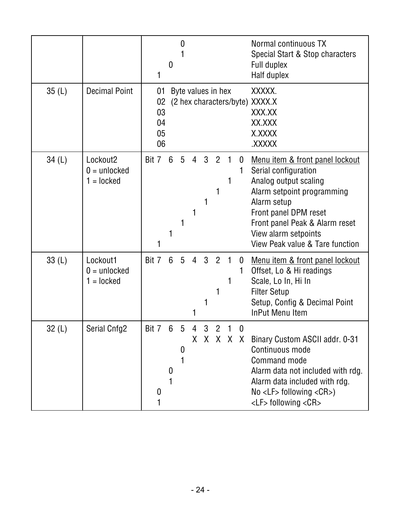|       |                                                        | 1                                | 0              | 0                |                |                    |                     |             |           | Normal continuous TX<br>Special Start & Stop characters<br>Full duplex<br>Half duplex                                                                                                                                                                          |
|-------|--------------------------------------------------------|----------------------------------|----------------|------------------|----------------|--------------------|---------------------|-------------|-----------|----------------------------------------------------------------------------------------------------------------------------------------------------------------------------------------------------------------------------------------------------------------|
| 35(L) | <b>Decimal Point</b>                                   | 01<br>02<br>03<br>04<br>05<br>06 |                |                  |                | Byte values in hex |                     |             |           | XXXXX.<br>(2 hex characters/byte) XXXX.X<br>XXX.XX<br>XX.XXX<br>X.XXXX<br>XXXXX.                                                                                                                                                                               |
| 34(L) | Lockout <sub>2</sub><br>$0 =$ unlocked<br>$1 =$ locked | Bit 7                            | $6\phantom{1}$ | $5\overline{)}$  | $\overline{4}$ | 3                  | $\overline{2}$<br>1 |             | 0         | <u>Menu item &amp; front panel lockout</u><br>Serial configuration<br>Analog output scaling<br>Alarm setpoint programming<br>Alarm setup<br>Front panel DPM reset<br>Front panel Peak & Alarm reset<br>View alarm setpoints<br>View Peak value & Tare function |
| 33(L) | Lockout1<br>$0 =$ unlocked<br>$1 =$ locked             | Bit 7                            | $6\phantom{1}$ | 5                | $\overline{4}$ | 3                  | $\overline{2}$      | $\mathbf 1$ | 0<br>1    | Menu item & front panel lockout<br>Offset, Lo & Hi readings<br>Scale, Lo In, Hi In<br><b>Filter Setup</b><br>Setup, Config & Decimal Point<br><b>InPut Menu Item</b>                                                                                           |
| 32(L) | Serial Cnfg2                                           | Bit 7 6<br>$\bf{0}$              | 0              | $5^{\circ}$<br>0 | $\overline{4}$ | 3 2 1 0            |                     |             | X X X X X | Binary Custom ASCII addr. 0-31<br>Continuous mode<br><b>Command mode</b><br>Alarm data not included with rdg.<br>Alarm data included with rdg.<br>$No < LF$ following $<$ CR >)<br><lf> following <cr></cr></lf>                                               |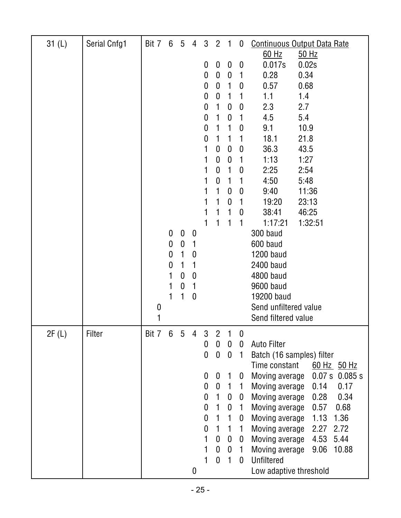| 31(L) | Serial Cnfg1 | Bit 7            | 6                | $5\phantom{.0}$  | $\overline{4}$   | $\mathbf{3}$          | $\overline{2}$               | $\mathbf{1}$        | $\boldsymbol{0}$      | <b>Continuous Output Data Rate</b>                                    |
|-------|--------------|------------------|------------------|------------------|------------------|-----------------------|------------------------------|---------------------|-----------------------|-----------------------------------------------------------------------|
|       |              |                  |                  |                  |                  | $\boldsymbol{0}$      | $\bf{0}$                     | $\boldsymbol{0}$    | $\boldsymbol{0}$      | $60$ Hz<br>$50$ Hz<br>0.017s<br>0.02s                                 |
|       |              |                  |                  |                  |                  | $\boldsymbol{0}$      | $\mathbf 0$                  | $\mathbf 0$         | 1                     | 0.28<br>0.34                                                          |
|       |              |                  |                  |                  |                  | 0                     | $\mathbf{0}$                 | 1                   | $\mathbf 0$           | 0.57<br>0.68                                                          |
|       |              |                  |                  |                  |                  | $\boldsymbol{0}$      | $\mathbf 0$                  |                     | 1                     | 1.1<br>1.4                                                            |
|       |              |                  |                  |                  |                  | 0                     | 1                            | 0                   | $\boldsymbol{0}$      | 2.3<br>2.7                                                            |
|       |              |                  |                  |                  |                  | 0                     | 1                            | $\mathbf 0$         | 1                     | 4.5<br>5.4                                                            |
|       |              |                  |                  |                  |                  | $\mathbf 0$           | 1                            | 1                   | $\boldsymbol{0}$      | 9.1<br>10.9                                                           |
|       |              |                  |                  |                  |                  | $\boldsymbol{0}$      | 1                            | 1                   | 1                     | 18.1<br>21.8                                                          |
|       |              |                  |                  |                  |                  | 1                     | 0                            | $\boldsymbol{0}$    | $\boldsymbol{0}$      | 36.3<br>43.5                                                          |
|       |              |                  |                  |                  |                  | 1                     | 0                            | $\mathbf 0$         | 1                     | 1:13<br>1:27                                                          |
|       |              |                  |                  |                  |                  | 1                     | 0                            | 1                   | $\boldsymbol{0}$      | 2:25<br>2:54                                                          |
|       |              |                  |                  |                  |                  |                       | 0                            | 1                   | 1                     | 4:50<br>5:48                                                          |
|       |              |                  |                  |                  |                  |                       | 1<br>1                       | 0                   | $\mathbf 0$           | 9:40<br>11:36                                                         |
|       |              |                  |                  |                  |                  | 1                     | 1                            | $\overline{0}$<br>1 | 1<br>$\mathbf 0$      | 19:20<br>23:13<br>38:41<br>46:25                                      |
|       |              |                  |                  |                  |                  | 1                     | 1                            | 1                   |                       | 1:17:21<br>1:32:51                                                    |
|       |              |                  | $\mathbf 0$      | $\mathbf 0$      | $\boldsymbol{0}$ |                       |                              |                     |                       | 300 baud                                                              |
|       |              |                  | $\boldsymbol{0}$ | $\boldsymbol{0}$ | 1                |                       |                              |                     |                       | 600 baud                                                              |
|       |              |                  | 0                | 1                | 0                |                       |                              |                     |                       | <b>1200 baud</b>                                                      |
|       |              |                  | 0                | 1                | 1                |                       |                              |                     |                       | 2400 baud                                                             |
|       |              |                  | 1                | $\boldsymbol{0}$ | 0                |                       |                              |                     |                       | 4800 baud                                                             |
|       |              |                  | 1                | $\boldsymbol{0}$ | 1                |                       |                              |                     |                       | 9600 baud                                                             |
|       |              |                  |                  |                  | $\boldsymbol{0}$ |                       |                              |                     |                       | 19200 baud                                                            |
|       |              | $\boldsymbol{0}$ |                  |                  |                  |                       |                              |                     |                       | Send unfiltered value                                                 |
|       |              |                  |                  |                  |                  |                       |                              |                     |                       | Send filtered value                                                   |
| 2F(L) | Filter       | Bit 7            | 6                | 5                | 4                | 3                     | $\overline{2}$               | 1                   | $\boldsymbol{0}$      |                                                                       |
|       |              |                  |                  |                  |                  | $\boldsymbol{0}$      | $\pmb{0}$                    | $\bf{0}$            | $\mathbf 0$           | <b>Auto Filter</b>                                                    |
|       |              |                  |                  |                  |                  | $\boldsymbol{0}$      | $\boldsymbol{0}$             | $\boldsymbol{0}$    | 1                     | Batch (16 samples) filter                                             |
|       |              |                  |                  |                  |                  |                       |                              |                     |                       | Time constant<br>60 Hz 50 Hz                                          |
|       |              |                  |                  |                  |                  | 0<br>$\boldsymbol{0}$ | $\bf{0}$<br>$\boldsymbol{0}$ | 1<br>1              | $\boldsymbol{0}$<br>1 | Moving average<br>0.07 s<br>0.085 s<br>0.14<br>Moving average<br>0.17 |
|       |              |                  |                  |                  |                  | $\mathbf 0$           | $\mathbf{1}$                 | $\bf{0}$            | 0                     | Moving average<br>0.28<br>0.34                                        |
|       |              |                  |                  |                  |                  | $\mathbf 0$           | 1                            | $\mathbf 0$         | $\mathbf{1}$          | Moving average<br>0.57<br>0.68                                        |
|       |              |                  |                  |                  |                  | $\boldsymbol{0}$      | 1                            | 1                   | $\bf{0}$              | 1.13<br>1.36<br>Moving average                                        |
|       |              |                  |                  |                  |                  | $\boldsymbol{0}$      | 1                            | 1                   | 1                     | Moving average<br>2.27<br>2.72                                        |
|       |              |                  |                  |                  |                  | 1                     | $\boldsymbol{0}$             | $\boldsymbol{0}$    | $\bf{0}$              | Moving average<br>4.53<br>5.44                                        |
|       |              |                  |                  |                  |                  | 1                     | $\mathbf 0$                  | $\boldsymbol{0}$    | $\mathbf{1}$          | Moving average<br>10.88<br>9.06                                       |
|       |              |                  |                  |                  |                  | 1                     | $\mathbf 0$                  | $\mathbf{1}$        | $\mathbf 0$           | <b>Unfiltered</b>                                                     |
|       |              |                  |                  |                  | 0                |                       |                              |                     |                       | Low adaptive threshold                                                |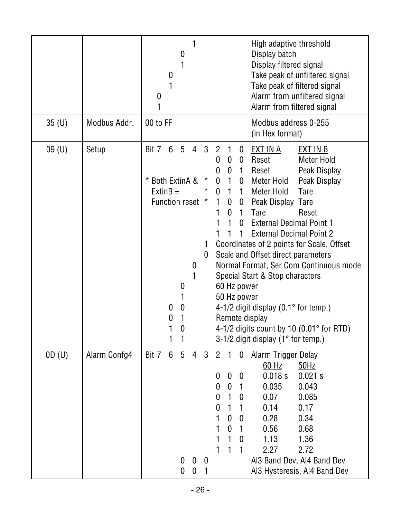|                   |              | High adaptive threshold<br>Display batch<br>$\boldsymbol{0}$<br>Display filtered signal<br>Take peak of unfiltered signal<br>0<br>Take peak of filtered signal<br>Alarm from unfiltered signal<br>0<br>Alarm from filtered signal                                                                                                                                                                                                                                                                                                                                                                                                                                                                                                                                                                                                                                                                                                                                                                                                                                                                                                  |
|-------------------|--------------|------------------------------------------------------------------------------------------------------------------------------------------------------------------------------------------------------------------------------------------------------------------------------------------------------------------------------------------------------------------------------------------------------------------------------------------------------------------------------------------------------------------------------------------------------------------------------------------------------------------------------------------------------------------------------------------------------------------------------------------------------------------------------------------------------------------------------------------------------------------------------------------------------------------------------------------------------------------------------------------------------------------------------------------------------------------------------------------------------------------------------------|
| 35 <sub>(U)</sub> | Modbus Addr. | 00 to FF<br>Modbus address 0-255<br>(in Hex format)                                                                                                                                                                                                                                                                                                                                                                                                                                                                                                                                                                                                                                                                                                                                                                                                                                                                                                                                                                                                                                                                                |
| 09(U)             | Setup        | 5 <sup>5</sup><br>Bit 7<br>6 <sup>1</sup><br>$\overline{4}$<br>3<br>$\overline{2}$<br><u>EXT IN A</u><br>EXT IN B<br>1<br>$\boldsymbol{0}$<br>Reset<br>Meter Hold<br>$\boldsymbol{0}$<br>0<br>$\bf{0}$<br>$\boldsymbol{0}$<br>Reset<br>Peak Display<br>0<br>$\mathbf{1}$<br><b>Both ExtinA &amp;</b><br>$^\star$<br>$\star$<br>$\mathbf{1}$<br>0 Meter Hold<br>Peak Display<br>0<br>$ExtinB =$<br>$\star$<br>$\mathbf{1}$<br><b>Meter Hold</b><br><b>Tare</b><br>$\mathbf{0}$<br>1<br>Function reset *<br>0 Peak Display Tare<br>1<br>$\boldsymbol{0}$<br>$\mathbf{0}$<br><b>Tare</b><br>Reset<br>1<br><b>External Decimal Point 1</b><br>1<br>$\mathbf{0}$<br><b>External Decimal Point 2</b><br>1<br>Coordinates of 2 points for Scale, Offset<br>1<br>Scale and Offset direct parameters<br>0<br>Normal Format, Ser Com Continuous mode<br>0<br>Special Start & Stop characters<br>60 Hz power<br>0<br>50 Hz power<br>4-1/2 digit display $(0.1^{\circ}$ for temp.)<br>$\boldsymbol{0}$<br>0<br>Remote display<br>$\theta$<br>4-1/2 digits count by 10 $(0.01^{\circ}$ for RTD)<br>0<br>3-1/2 digit display (1° for temp.)<br>1 |
| OD(U)             | Alarm Confg4 | $5\phantom{.0}$<br>Bit 7<br>6<br>$\mathbf{3}$<br>$\overline{2}$<br>$\mathbf{1}$<br>$\overline{4}$<br>$\boldsymbol{0}$<br><b>Alarm Trigger Delay</b><br>$60$ Hz<br>50Hz<br>0.021 s<br>0.018 s<br>0<br>$\mathbf 0$<br>$\boldsymbol{0}$<br>$\mathbf 0$<br>0.035<br>0.043<br>0<br>$\mathbf{1}$<br>0.07<br>0.085<br>0<br>1<br>$\bf{0}$<br>0<br>1<br>0.14<br>0.17<br>1<br>0.28<br>0.34<br>$\mathbf 0$<br>$\boldsymbol{0}$<br>$\mathbf 0$<br>0.56<br>0.68<br>1<br>1.13<br>1.36<br>$\boldsymbol{0}$<br>1<br>2.27<br>1<br>2.72<br>Al3 Band Dev, Al4 Band Dev<br>$\boldsymbol{0}$<br>0<br>$\boldsymbol{0}$<br>$\mathbf 0$<br>0<br>Al3 Hysteresis, Al4 Band Dev<br>1                                                                                                                                                                                                                                                                                                                                                                                                                                                                          |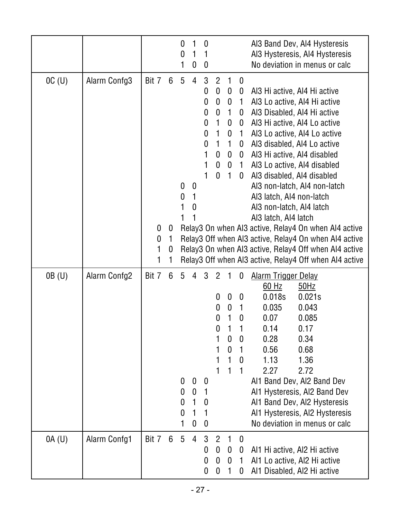|        |                     |                      |                  | 0<br>0                                              | 1<br>0                                  | $\mathbf 0$<br>1<br>0                                                 |                                                                                                                                                       |                                                                                                          |                                                                                                                                                        | Al3 Band Dev, Al4 Hysteresis<br>AI3 Hysteresis, AI4 Hysteresis<br>No deviation in menus or calc                                                                                                                                                                                                                                                                                                                                                                                                                                                                                  |
|--------|---------------------|----------------------|------------------|-----------------------------------------------------|-----------------------------------------|-----------------------------------------------------------------------|-------------------------------------------------------------------------------------------------------------------------------------------------------|----------------------------------------------------------------------------------------------------------|--------------------------------------------------------------------------------------------------------------------------------------------------------|----------------------------------------------------------------------------------------------------------------------------------------------------------------------------------------------------------------------------------------------------------------------------------------------------------------------------------------------------------------------------------------------------------------------------------------------------------------------------------------------------------------------------------------------------------------------------------|
| OC(U)  | Alarm Confg3        | Bit 7<br>0<br>0<br>1 | 6<br>0<br>1<br>0 | $5\phantom{.0}$<br>$\boldsymbol{0}$<br>0            | $\overline{4}$<br>$\boldsymbol{0}$<br>0 | 3<br>$\boldsymbol{0}$<br>0<br>0<br>0<br>0<br>$\pmb{0}$<br>1<br>1<br>1 | $\overline{2}$<br>$\mathbf 0$<br>$\boldsymbol{0}$<br>$\bf{0}$<br>$\mathbf{1}$<br>$\mathbf{1}$<br>1<br>$\mathbf 0$<br>$\boldsymbol{0}$<br>$\mathbf{0}$ | 1<br>$\bf{0}$<br>$\boldsymbol{0}$<br>1<br>$\boldsymbol{0}$<br>0<br>1<br>$\boldsymbol{0}$<br>$\mathbf{1}$ | $\boldsymbol{0}$<br>$\boldsymbol{0}$<br>$\mathbf{1}$<br>0<br>$\pmb{0}$<br>$\mathbf{1}$<br>$\mathbf 0$<br>$\mathbf{0}$<br>0 <sub>1</sub><br>$\mathbf 0$ | Al3 Hi active, Al4 Hi active<br>Al3 Lo active, Al4 Hi active<br>Al3 Disabled, Al4 Hi active<br>Al3 Hi active, Al4 Lo active<br>Al3 Lo active, Al4 Lo active<br>Al3 disabled, Al4 Lo active<br>Al3 Hi active, Al4 disabled<br>Al3 Lo active, Al4 disabled<br>Al3 disabled, Al4 disabled<br>Al3 non-latch, Al4 non-latch<br>Al3 latch, Al4 non-latch<br>Al3 non-latch, Al4 latch<br>Al3 latch, Al4 latch<br>Relay3 On when AI3 active, Relay4 On when AI4 active<br>Relay3 Off when AI3 active, Relay4 On when AI4 active<br>Relay3 On when AI3 active, Relay4 Off when AI4 active |
|        |                     | 1                    |                  |                                                     |                                         |                                                                       |                                                                                                                                                       |                                                                                                          |                                                                                                                                                        | Relay3 Off when AI3 active, Relay4 Off when AI4 active                                                                                                                                                                                                                                                                                                                                                                                                                                                                                                                           |
| 0B (U) | Alarm Confg2        | Bit 7                | 6                | 5<br>0<br>$\boldsymbol{0}$<br>$\boldsymbol{0}$<br>0 | 4<br>0<br>0<br>1<br>$\mathbf{1}$<br>0   | 3<br>0<br>1<br>$\boldsymbol{0}$<br>1<br>0                             | $\overline{2}$<br>0<br>0<br>0                                                                                                                         | $\mathbf{0}$<br>$\boldsymbol{0}$<br>$\mathbf{0}$<br>0<br>$\mathbf{1}$<br>1                               | 0<br>$\boldsymbol{0}$<br>1<br>$\boldsymbol{0}$<br>1<br>$\boldsymbol{0}$<br>1<br>$\theta$<br>1                                                          | <b>Alarm Trigger Delay</b><br>$60$ Hz<br>$50$ Hz<br>0.018s<br>0.021s<br>0.035<br>0.043<br>0.07<br>0.085<br>0.14<br>0.17<br>0.28<br>0.34<br>0.56<br>0.68<br>1.13<br>1.36<br>2.27<br>2.72<br>Al1 Band Dev, Al2 Band Dev<br>Al1 Hysteresis, Al2 Band Dev<br>Al1 Band Dev, Al2 Hysteresis<br>Al1 Hysteresis, Al2 Hysteresis<br>No deviation in menus or calc                                                                                                                                                                                                                         |
| OA(U)  | <b>Alarm Confg1</b> | Bit 7                | 6                | 5 <sup>5</sup>                                      | $\overline{4}$                          | 3<br>$\boldsymbol{0}$<br>$\boldsymbol{0}$<br>0                        | $\overline{2}$<br>$\mathbf 0$<br>$\boldsymbol{0}$<br>$\boldsymbol{0}$                                                                                 | $\mathbf{1}$<br>$\boldsymbol{0}$<br>$\mathbf 0$<br>1                                                     | $\mathbf{0}$<br>$\mathbf 0$<br>$\mathbf{1}$<br>$\mathbf 0$                                                                                             | Al1 Hi active, Al2 Hi active<br>Al1 Lo active, Al2 Hi active<br>Al1 Disabled, Al2 Hi active                                                                                                                                                                                                                                                                                                                                                                                                                                                                                      |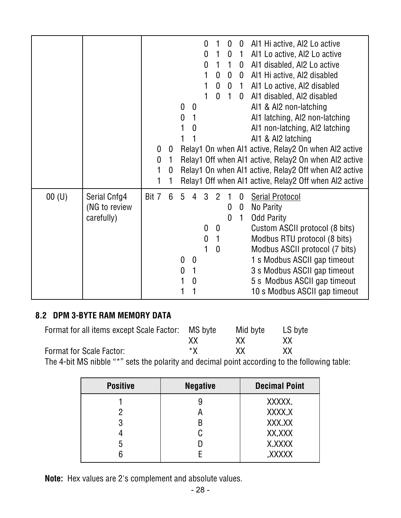|          |               |       |             |             |   |              | 0                |                | 0                | $\mathbf 0$    | Al1 Hi active, Al2 Lo active                           |
|----------|---------------|-------|-------------|-------------|---|--------------|------------------|----------------|------------------|----------------|--------------------------------------------------------|
|          |               |       |             |             |   |              | 0                | 1              | $\boldsymbol{0}$ | $\mathbf{1}$   | Al1 Lo active, Al2 Lo active                           |
|          |               |       |             |             |   |              | $\mathbf{0}$     | $\mathbf{1}$   | $\mathbf{1}$     | $\mathbf{0}$   | Al1 disabled, Al2 Lo active                            |
|          |               |       |             |             |   |              | 1                | $\mathbf 0$    | $\mathbf 0$      | $\mathbf 0$    | Al1 Hi active, Al2 disabled                            |
|          |               |       |             |             |   |              |                  | 0              |                  | 0 <sub>1</sub> | Al1 Lo active, Al2 disabled                            |
|          |               |       |             |             |   |              |                  | 0 <sub>1</sub> |                  | $\mathbf 0$    | Al1 disabled, Al2 disabled                             |
|          |               |       |             |             | 0 | 0            |                  |                |                  |                | Al1 & Al2 non-latching                                 |
|          |               |       |             |             | 0 |              |                  |                |                  |                | Al1 latching, Al2 non-latching                         |
|          |               |       |             |             |   | $\mathbf{0}$ |                  |                |                  |                | Al1 non-latching, Al2 latching                         |
|          |               |       |             |             |   |              |                  |                |                  |                | Al1 & Al2 latching                                     |
|          |               |       | 0           | $\mathbf 0$ |   |              |                  |                |                  |                | Relay1 On when Al1 active, Relay2 On when Al2 active   |
|          |               |       | $\mathbf 0$ | 1           |   |              |                  |                |                  |                | Relay1 Off when Al1 active, Relay2 On when Al2 active  |
|          |               |       | 1           | 0           |   |              |                  |                |                  |                | Relay1 On when Al1 active, Relay2 Off when Al2 active  |
|          |               |       |             |             |   |              |                  |                |                  |                | Relay1 Off when Al1 active, Relay2 Off when Al2 active |
| $00($ U) | Serial Cnfg4  | Bit 7 |             | 6           | 5 | 4            | 3                | $\overline{2}$ |                  | 0              | <b>Serial Protocol</b>                                 |
|          | (NG to review |       |             |             |   |              |                  |                | $\bf{0}$         | $\mathbf 0$    | No Parity                                              |
|          | carefully)    |       |             |             |   |              |                  |                | $\mathbf{0}$     | 1              | <b>Odd Parity</b>                                      |
|          |               |       |             |             |   |              | $\mathbf{0}$     | $\mathbf{0}$   |                  |                | Custom ASCII protocol (8 bits)                         |
|          |               |       |             |             |   |              | $\boldsymbol{0}$ | $\mathbf{1}$   |                  |                | Modbus RTU protocol (8 bits)                           |
|          |               |       |             |             |   |              | 1                | $\mathbf{0}$   |                  |                | Modbus ASCII protocol (7 bits)                         |
|          |               |       |             |             | 0 | 0            |                  |                |                  |                | 1 s Modbus ASCII gap timeout                           |
|          |               |       |             |             | 0 | 1            |                  |                |                  |                | 3 s Modbus ASCII gap timeout                           |
|          |               |       |             |             |   | 0            |                  |                |                  |                | 5 s Modbus ASCII gap timeout                           |
|          |               |       |             |             |   |              |                  |                |                  |                | 10 s Modbus ASCII gap timeout                          |
|          |               |       |             |             |   |              |                  |                |                  |                |                                                        |

#### **8.2 DPM 3-BYTE RAM MEMORY DATA**

| Format for all items except Scale Factor: MS byte                                                   |           | Mid byte  | LS byte |  |
|-----------------------------------------------------------------------------------------------------|-----------|-----------|---------|--|
|                                                                                                     | XX        | XX.       | XX      |  |
| Format for Scale Factor:                                                                            | $\star$ X | <b>XX</b> | XX.     |  |
| The $\Lambda$ bit MC pibble $\frac{6}{5}$ at the pelerity and decimal peint essenting to the follow |           |           |         |  |

The 4-bit MS nibble "\*" sets the polarity and decimal point according to the following table:

| <b>Positive</b> | <b>Negative</b> | <b>Decimal Point</b> |
|-----------------|-----------------|----------------------|
|                 |                 | XXXXX.               |
|                 |                 | XXXX.X               |
| 3               |                 | XXX.XX               |
|                 |                 | XX.XXX               |
| 5               |                 | X, XXXX              |
|                 |                 | XXXXX.               |

**Note:** Hex values are 2's complement and absolute values.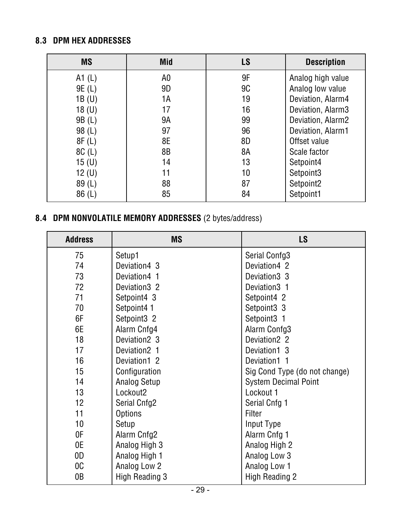#### **8.3 DPM HEX ADDRESSES**

| <b>MS</b>         | <b>Mid</b> | LS        | <b>Description</b> |
|-------------------|------------|-----------|--------------------|
| A1 $(L)$          | A0         | 9F        | Analog high value  |
| 9E (L)            | 9D         | <b>9C</b> | Analog low value   |
| 1B(U)             | 1A         | 19        | Deviation, Alarm4  |
| 18 <sub>(U)</sub> | 17         | 16        | Deviation, Alarm3  |
| 9B (L)            | 9Α         | 99        | Deviation, Alarm2  |
| 98(L)             | 97         | 96        | Deviation, Alarm1  |
| 8F(L)             | 8E         | 8D        | Offset value       |
| 8C(L)             | 8B         | 8A        | Scale factor       |
| 15 (U)            | 14         | 13        | Setpoint4          |
| 12 (U)            | 11         | 10        | Setpoint3          |
| 89(L)             | 88         | 87        | Setpoint2          |
| 86(L)             | 85         | 84        | Setpoint1          |

## **8.4 DPM NONVOLATILE MEMORY ADDRESSES** (2 bytes/address)

| <b>Address</b>  | <b>MS</b>                | <b>LS</b>                     |
|-----------------|--------------------------|-------------------------------|
| 75              | Setup1                   | Serial Confg3                 |
| 74              | Deviation4 3             | Deviation4 2                  |
| 73              | Deviation4 1             | Deviation 3 3                 |
| 72              | Deviation 32             | Deviation <sub>3</sub> 1      |
| 71              | Setpoint4 3              | Setpoint4 2                   |
| 70              | Setpoint4 1              | Setpoint3 3                   |
| 6F              | Setpoint <sub>3</sub> 2  | Setpoint3 1                   |
| 6E              | Alarm Cnfg4              | Alarm Confg3                  |
| 18              | Deviation <sub>2</sub> 3 | Deviation <sub>2</sub> 2      |
| 17              | Deviation <sub>2</sub> 1 | Deviation1 3                  |
| 16              | Deviation1 2             | Deviation1 1                  |
| 15              | Configuration            | Sig Cond Type (do not change) |
| 14              | Analog Setup             | <b>System Decimal Point</b>   |
| 13              | Lockout <sub>2</sub>     | Lockout 1                     |
| 12 <sub>2</sub> | Serial Cnfg2             | Serial Cnfg 1                 |
| 11              | <b>Options</b>           | Filter                        |
| 10              | Setup                    | Input Type                    |
| 0F              | Alarm Cnfg2              | Alarm Cnfg 1                  |
| 0E              | Analog High 3            | Analog High 2                 |
| 0D              | Analog High 1            | Analog Low 3                  |
| OC              | Analog Low 2             | Analog Low 1                  |
| 0B              | High Reading 3           | <b>High Reading 2</b>         |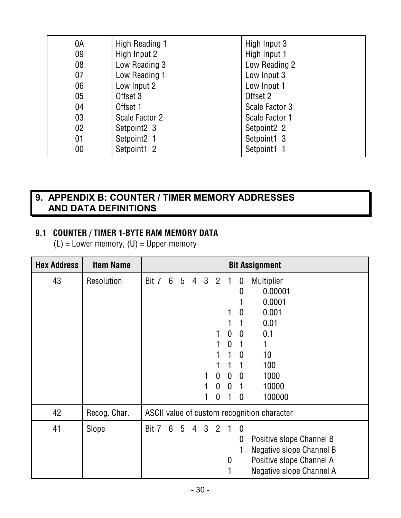| 0A | High Reading 1 | High Input 3   |
|----|----------------|----------------|
| 09 | High Input 2   | High Input 1   |
| 08 | Low Reading 3  | Low Reading 2  |
|    |                |                |
| 07 | Low Reading 1  | Low Input 3    |
| 06 | Low Input 2    | Low Input 1    |
| 05 | Offset 3       | Offset 2       |
| 04 | Offset 1       | Scale Factor 3 |
| 03 | Scale Factor 2 | Scale Factor 1 |
| 02 | Setpoint2 3    | Setpoint2 2    |
| 01 | Setpoint2 1    | Setpoint1 3    |
| 00 | Setpoint1 2    | Setpoint1 1    |
|    |                |                |

#### **9. APPENDIX B: COUNTER / TIMER MEMORY ADDRESSES AND DATA DEFINITIONS**

#### **9.1 COUNTER / TIMER 1-BYTE RAM MEMORY DATA**

(L) = Lower memory, (U) = Upper memory

| <b>Hex Address</b> | <b>Item Name</b> |       | <b>Bit Assignment</b> |                 |                |              |                |                  |              |                                             |  |
|--------------------|------------------|-------|-----------------------|-----------------|----------------|--------------|----------------|------------------|--------------|---------------------------------------------|--|
| 43                 | Resolution       | Bit 7 | $6\phantom{1}6$       | $5\overline{)}$ | $\overline{4}$ | $\mathbf{3}$ | 2 <sub>1</sub> |                  | 0<br>0       | <b>Multiplier</b><br>0.00001                |  |
|                    |                  |       |                       |                 |                |              |                |                  |              | 0.0001                                      |  |
|                    |                  |       |                       |                 |                |              |                |                  | $\mathbf 0$  | 0.001                                       |  |
|                    |                  |       |                       |                 |                |              |                |                  | 1            | 0.01                                        |  |
|                    |                  |       |                       |                 |                |              |                | $\mathbf{0}$     | $\mathbf{0}$ | 0.1                                         |  |
|                    |                  |       |                       |                 |                |              |                | $\mathbf 0$      | 1            | 1                                           |  |
|                    |                  |       |                       |                 |                |              |                |                  | $\mathbf 0$  | 10                                          |  |
|                    |                  |       |                       |                 |                |              |                |                  |              | 100                                         |  |
|                    |                  |       |                       |                 |                | 1            | $\mathbf 0$    | $\mathbf 0$      | $\mathbf 0$  | 1000                                        |  |
|                    |                  |       |                       |                 |                |              | $\mathbf{0}$   | $\mathbf 0$      | 1            | 10000                                       |  |
|                    |                  |       |                       |                 |                |              | 0              |                  | $\mathbf 0$  | 100000                                      |  |
| 42                 | Recog. Char.     |       |                       |                 |                |              |                |                  |              | ASCII value of custom recognition character |  |
| 41                 | Slope            | Bit 7 | $6\phantom{1}$        | $5\overline{)}$ | $\overline{4}$ | 3            | 2 <sub>1</sub> |                  | $\mathbf 0$  |                                             |  |
|                    |                  |       |                       |                 |                |              |                |                  | 0            | Positive slope Channel B                    |  |
|                    |                  |       |                       |                 |                |              |                |                  |              | Negative slope Channel B                    |  |
|                    |                  |       |                       |                 |                |              |                | $\boldsymbol{0}$ |              | Positive slope Channel A                    |  |
|                    |                  |       |                       |                 |                |              |                |                  |              | Negative slope Channel A                    |  |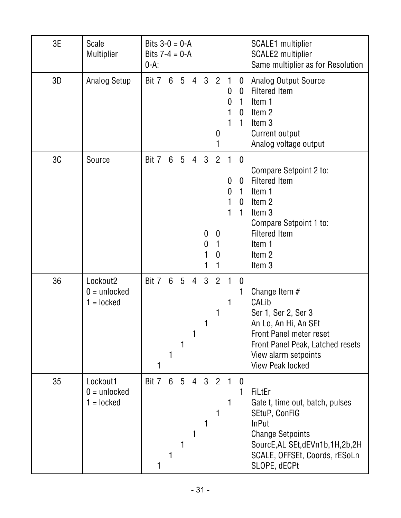| 3E | <b>Scale</b><br>Multiplier                             | Bits $3-0 = 0-A$<br>Bits $7 - 4 = 0 - A$<br>$0-A$ : |                 |                 |                |                        |                                          |                                  |                                 | <b>SCALE1</b> multiplier<br><b>SCALE2</b> multiplier<br>Same multiplier as for Resolution                                                                                                           |
|----|--------------------------------------------------------|-----------------------------------------------------|-----------------|-----------------|----------------|------------------------|------------------------------------------|----------------------------------|---------------------------------|-----------------------------------------------------------------------------------------------------------------------------------------------------------------------------------------------------|
| 3D | <b>Analog Setup</b>                                    | Bit 7 6 5                                           |                 |                 | 4              | 3                      | $\overline{2}$<br>0                      | 0<br>$\mathbf{0}$<br>1           | 0<br>$\mathbf 0$<br>1<br>0<br>1 | <b>Analog Output Source</b><br><b>Filtered Item</b><br>Item 1<br>Item <sub>2</sub><br>Item <sub>3</sub><br>Current output<br>Analog voltage output                                                  |
| 3C | Source                                                 | Bit 7                                               | $6\phantom{1}$  | $5\phantom{.0}$ | $\overline{4}$ | $\mathbf{3}$<br>0<br>0 | $\overline{2}$<br>$\mathbf{0}$<br>1<br>0 | $\mathbf{1}$<br>0<br>0<br>1<br>1 | $\mathbf 0$<br>0<br>1<br>0<br>1 | Compare Setpoint 2 to:<br><b>Filtered Item</b><br>Item 1<br>Item <sub>2</sub><br>Item 3<br>Compare Setpoint 1 to:<br><b>Filtered Item</b><br>Item 1<br>Item 2<br>Item 3                             |
| 36 | Lockout <sub>2</sub><br>$0 =$ unlocked<br>$1 =$ locked | Bit 7                                               | $6\phantom{1}6$ | 5<br>1          | $\overline{4}$ | 3<br>1                 | $\overline{2}$                           | 1                                | $\mathbf 0$<br>1                | Change Item $#$<br>CALib<br>Ser 1, Ser 2, Ser 3<br>An Lo, An Hi, An SEt<br><b>Front Panel meter reset</b><br>Front Panel Peak, Latched resets<br>View alarm setpoints<br><b>View Peak locked</b>    |
| 35 | Lockout1<br>$0 =$ unlocked<br>$1 =$ locked             | Bit 7                                               | $6\phantom{1}$  | $5\overline{)}$ | $\overline{4}$ | 3 <sup>2</sup>         |                                          |                                  | $\theta$<br>1                   | <b>FiLtEr</b><br>Gate t, time out, batch, pulses<br>SEtuP, ConFiG<br><b>InPut</b><br><b>Change Setpoints</b><br>SourcE, AL SEt, dEVn1b, 1H, 2b, 2H<br>SCALE, OFFSEt, Coords, rESoLn<br>SLOPE, dECPt |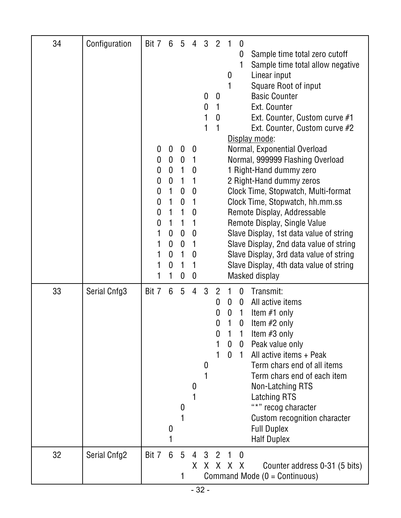| 34 | Configuration | Bit 7                                     | 6                                                                                                                     | 5                                                                                                                                                                  | 4                                                                                                                                                                   | 3                               | $\overline{2}$                     | 0                                                                                                                                                                                                                                                                                                                                                                                                                                                                                                                                                                                                                                                                                                                     |  |
|----|---------------|-------------------------------------------|-----------------------------------------------------------------------------------------------------------------------|--------------------------------------------------------------------------------------------------------------------------------------------------------------------|---------------------------------------------------------------------------------------------------------------------------------------------------------------------|---------------------------------|------------------------------------|-----------------------------------------------------------------------------------------------------------------------------------------------------------------------------------------------------------------------------------------------------------------------------------------------------------------------------------------------------------------------------------------------------------------------------------------------------------------------------------------------------------------------------------------------------------------------------------------------------------------------------------------------------------------------------------------------------------------------|--|
|    |               | 0<br>0<br>0<br>0<br>0<br>0<br>0<br>0<br>1 | $\mathbf 0$<br>$\mathbf 0$<br>$\boldsymbol{0}$<br>$\boldsymbol{0}$<br>1<br>1<br>$\mathbf{1}$<br>1<br>0<br>0<br>0<br>0 | 0<br>$\boldsymbol{0}$<br>1<br>$\mathbf{1}$<br>$\boldsymbol{0}$<br>$\boldsymbol{0}$<br>1<br>1<br>$\boldsymbol{0}$<br>$\boldsymbol{0}$<br>1<br>1<br>$\boldsymbol{0}$ | $\boldsymbol{0}$<br>$\boldsymbol{0}$<br>$\mathbf{1}$<br>$\boldsymbol{0}$<br>$\mathbf{1}$<br>$\boldsymbol{0}$<br>$\boldsymbol{0}$<br>1<br>0<br>1<br>$\boldsymbol{0}$ | $\boldsymbol{0}$<br>0<br>1<br>1 | $\boldsymbol{0}$<br>0              | Sample time total zero cutoff<br>0<br>1<br>Sample time total allow negative<br>Linear input<br>0<br>Square Root of input<br><b>Basic Counter</b><br>Ext. Counter<br>Ext. Counter, Custom curve #1<br>Ext. Counter, Custom curve #2<br>Display mode:<br>Normal, Exponential Overload<br>Normal, 999999 Flashing Overload<br>1 Right-Hand dummy zero<br>2 Right-Hand dummy zeros<br>Clock Time, Stopwatch, Multi-format<br>Clock Time, Stopwatch, hh.mm.ss<br>Remote Display, Addressable<br>Remote Display, Single Value<br>Slave Display, 1st data value of string<br>Slave Display, 2nd data value of string<br>Slave Display, 3rd data value of string<br>Slave Display, 4th data value of string<br>Masked display |  |
| 33 | Serial Cnfg3  | Bit 7                                     | 6<br>0                                                                                                                | 5<br>$\bf{0}$                                                                                                                                                      | 4<br>0                                                                                                                                                              | 3<br>0                          | $\overline{2}$<br>0<br>0<br>0<br>0 | Transmit:<br>$\mathbf 0$<br>All active items<br>0<br>$\mathbf{0}$<br>$\mathbf{0}$<br>Item $#1$ only<br>$\mathbf{1}$<br>1<br>Item #2 only<br>0<br>Item #3 only<br>1<br>Peak value only<br>$\boldsymbol{0}$<br>$\bf{0}$<br>All active items + Peak<br>$\mathbf{0}$<br>$\mathbf{1}$<br>Term chars end of all items<br>Term chars end of each item<br>Non-Latching RTS<br>Latching RTS<br>"*" recog character<br>Custom recognition character<br><b>Full Duplex</b><br><b>Half Duplex</b>                                                                                                                                                                                                                                 |  |
| 32 | Serial Cnfg2  | Bit 7                                     | 6                                                                                                                     | 5<br>1                                                                                                                                                             | $\overline{4}$<br>X                                                                                                                                                 |                                 | 3 <sup>2</sup>                     | $\overline{1}$<br>$\mathbf{0}$<br>X X X X<br>Counter address 0-31 (5 bits)<br>Command Mode ( $0 =$ Continuous)                                                                                                                                                                                                                                                                                                                                                                                                                                                                                                                                                                                                        |  |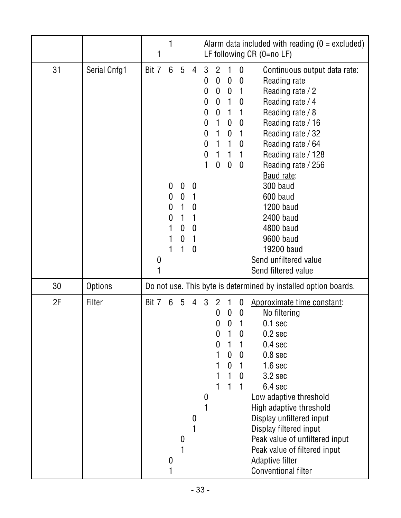|          |                          | 1          |                                 |                                                                             |                                                                              |                                                |                                                                                                                                                                                                                                |                                                                                                                                 |                                                                                                                                                                                                                                                                                                                                                                                                                                                                                                       | Alarm data included with reading $(0 = 0$ excluded)<br>LF following $CR$ (0=no LF)                                                                                                                                                                                                                                            |  |
|----------|--------------------------|------------|---------------------------------|-----------------------------------------------------------------------------|------------------------------------------------------------------------------|------------------------------------------------|--------------------------------------------------------------------------------------------------------------------------------------------------------------------------------------------------------------------------------|---------------------------------------------------------------------------------------------------------------------------------|-------------------------------------------------------------------------------------------------------------------------------------------------------------------------------------------------------------------------------------------------------------------------------------------------------------------------------------------------------------------------------------------------------------------------------------------------------------------------------------------------------|-------------------------------------------------------------------------------------------------------------------------------------------------------------------------------------------------------------------------------------------------------------------------------------------------------------------------------|--|
| 31       | Serial Cnfg1             | Bit 7<br>0 | 6<br>$\mathbf 0$<br>0<br>0<br>0 | $5\phantom{.0}$<br>$\boldsymbol{0}$<br>$\boldsymbol{0}$<br>1<br>1<br>0<br>0 | 4<br>$\boldsymbol{0}$<br>1<br>0<br>1<br>$\boldsymbol{0}$<br>1<br>$\mathbf 0$ | 3<br>0<br>0<br>0<br>0<br>0<br>0<br>0<br>0<br>1 | $\overline{2}$<br>$\mathbf 0$<br>$\boldsymbol{0}$<br>$\boldsymbol{0}$<br>$\mathbf 0$<br>$\mathbf{1}$<br>1<br>1<br>1<br>$\boldsymbol{0}$                                                                                        | $\boldsymbol{0}$<br>$\boldsymbol{0}$<br>1<br>$\mathbf{1}$<br>$\boldsymbol{0}$<br>$\boldsymbol{0}$<br>1<br>1<br>$\boldsymbol{0}$ | Continuous output data rate:<br>$\boldsymbol{0}$<br>Reading rate<br>Reading rate / 2<br>$\mathbf{1}$<br>Reading rate / 4<br>0<br>Reading rate / 8<br>$\mathbf{1}$<br>Reading rate / 16<br>$\bf{0}$<br>Reading rate / 32<br>1<br>Reading rate / 64<br>0<br>Reading rate / 128<br>$\mathbf{1}$<br>Reading rate / 256<br>$\boldsymbol{0}$<br>Baud rate:<br>300 baud<br>600 baud<br><b>1200 baud</b><br>2400 baud<br>4800 baud<br>9600 baud<br>19200 baud<br>Send unfiltered value<br>Send filtered value |                                                                                                                                                                                                                                                                                                                               |  |
| 30<br>2F | <b>Options</b><br>Filter | Bit 7      | $6\phantom{1}$                  | $\overline{5}$                                                              | 4                                                                            | 3                                              | Do not use. This byte is determined by installed option boards.<br>$\overline{2}$<br>$\boldsymbol{0}$<br>Approximate time constant:<br>No filtering<br>$\mathbf{0}$<br>$\mathbf{0}$<br>0<br>0<br>$\boldsymbol{0}$<br>$0.1$ sec |                                                                                                                                 | 0.2 <sub>sec</sub>                                                                                                                                                                                                                                                                                                                                                                                                                                                                                    |                                                                                                                                                                                                                                                                                                                               |  |
|          |                          |            | 0                               | 0                                                                           | U                                                                            | 0                                              | 0<br>0                                                                                                                                                                                                                         | 0<br>0                                                                                                                          | 0<br>$\mathbf{0}$<br>$\mathbf{0}$                                                                                                                                                                                                                                                                                                                                                                                                                                                                     | 0.4 <sub>sec</sub><br>0.8 <sub>sec</sub><br>1.6 <sub>sec</sub><br>3.2 <sub>sec</sub><br>6.4 sec<br>Low adaptive threshold<br>High adaptive threshold<br>Display unfiltered input<br>Display filtered input<br>Peak value of unfiltered input<br>Peak value of filtered input<br>Adaptive filter<br><b>Conventional filter</b> |  |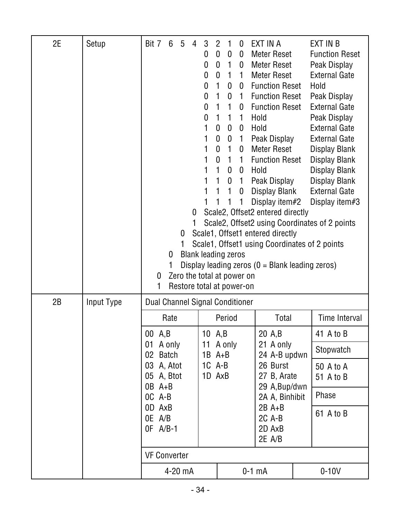| 2E | Setup      | Bit 7                 | 6<br>0                          | 5<br>$\mathbf{0}$ | 4<br>0<br>1 | 3<br>0<br>0<br>0<br>0<br>0<br>$\mathbf{0}$<br>0<br>1<br><b>Blank leading zeros</b> | $\overline{2}$<br>$\mathbf 0$<br>$\bf{0}$<br>$\mathbf{0}$<br>1<br>1<br>1<br>1<br>$\mathbf 0$<br>$\mathbf 0$<br>0<br>0<br>$\mathbf{1}$<br>1<br>1 | 0<br>$\mathbf{1}$<br>$\mathbf{1}$<br>$\boldsymbol{0}$<br>0<br>$\mathbf{1}$<br>1<br>$\bf{0}$<br>$\boldsymbol{0}$<br>$\mathbf{1}$<br>$\mathbf{1}$<br>$\boldsymbol{0}$<br>0<br>1<br>1 | $\bf{0}$<br>$\mathbf{0}$<br>$\mathbf 0$<br>$\mathbf{1}$<br>$\mathbf{0}$<br>$\mathbf{1}$<br>$\mathbf{0}$<br>$\mathbf{1}$<br>0<br>$\mathbf{1}$<br>$\mathbf 0$<br>1 | EXT IN A<br>Meter Reset<br>Meter Reset<br>Meter Reset<br>0 Function Reset<br>1 Function Reset<br><b>Function Reset</b><br>Hold<br>Hold<br>Peak Display<br>Meter Reset<br><b>Function Reset</b><br>0 Hold<br>1 Peak Display<br>Display Blank<br>Display item#2<br>Scale2, Offset2 entered directly<br>Scale1, Offset1 entered directly<br>Scale1, Offset1 using Coordinates of 2 points<br>Display leading zeros $(0 = Blank leading zeros)$ | EXT IN B<br><b>Function Reset</b><br>Peak Display<br><b>External Gate</b><br>Hold<br>Peak Display<br><b>External Gate</b><br>Peak Display<br><b>External Gate</b><br><b>External Gate</b><br>Display Blank<br>Display Blank<br>Display Blank<br><b>Display Blank</b><br><b>External Gate</b><br>Display item#3<br>Scale2, Offset2 using Coordinates of 2 points |
|----|------------|-----------------------|---------------------------------|-------------------|-------------|------------------------------------------------------------------------------------|-------------------------------------------------------------------------------------------------------------------------------------------------|------------------------------------------------------------------------------------------------------------------------------------------------------------------------------------|------------------------------------------------------------------------------------------------------------------------------------------------------------------|---------------------------------------------------------------------------------------------------------------------------------------------------------------------------------------------------------------------------------------------------------------------------------------------------------------------------------------------------------------------------------------------------------------------------------------------|-----------------------------------------------------------------------------------------------------------------------------------------------------------------------------------------------------------------------------------------------------------------------------------------------------------------------------------------------------------------|
|    |            | 0<br>1                |                                 |                   |             | Zero the total at power on<br>Restore total at power-on                            |                                                                                                                                                 |                                                                                                                                                                                    |                                                                                                                                                                  |                                                                                                                                                                                                                                                                                                                                                                                                                                             |                                                                                                                                                                                                                                                                                                                                                                 |
| 2B | Input Type |                       | Dual Channel Signal Conditioner |                   |             |                                                                                    |                                                                                                                                                 |                                                                                                                                                                                    |                                                                                                                                                                  |                                                                                                                                                                                                                                                                                                                                                                                                                                             |                                                                                                                                                                                                                                                                                                                                                                 |
|    |            |                       | Rate                            |                   |             |                                                                                    |                                                                                                                                                 | Period                                                                                                                                                                             |                                                                                                                                                                  | Total                                                                                                                                                                                                                                                                                                                                                                                                                                       | <b>Time Interval</b>                                                                                                                                                                                                                                                                                                                                            |
|    |            | 00 A,B                |                                 |                   |             |                                                                                    | 10 A,B                                                                                                                                          |                                                                                                                                                                                    |                                                                                                                                                                  | 20 A,B                                                                                                                                                                                                                                                                                                                                                                                                                                      | 41 A to B                                                                                                                                                                                                                                                                                                                                                       |
|    |            | 01<br>02 <sub>2</sub> | A only<br><b>Batch</b>          |                   |             | 11                                                                                 | $1B$ A+B                                                                                                                                        | A only                                                                                                                                                                             |                                                                                                                                                                  | 21 A only<br>24 A-B updwn                                                                                                                                                                                                                                                                                                                                                                                                                   | Stopwatch                                                                                                                                                                                                                                                                                                                                                       |
|    |            | OB A+B                | 03 A, Atot<br>05 A, Btot        |                   |             | $1C$ A-B                                                                           | 1D AxB                                                                                                                                          |                                                                                                                                                                                    |                                                                                                                                                                  | 26 Burst<br>27 B, Arate<br>29 A, Bup/dwn                                                                                                                                                                                                                                                                                                                                                                                                    | 50 A to A<br>51 A to B                                                                                                                                                                                                                                                                                                                                          |
|    |            | OC A-B                |                                 |                   |             |                                                                                    |                                                                                                                                                 |                                                                                                                                                                                    |                                                                                                                                                                  | 2A A, Binhibit                                                                                                                                                                                                                                                                                                                                                                                                                              | Phase                                                                                                                                                                                                                                                                                                                                                           |
|    |            | OD AxB<br>OE A/B      | OF A/B-1                        |                   |             |                                                                                    |                                                                                                                                                 |                                                                                                                                                                                    |                                                                                                                                                                  | $2B$ A+B<br>2C A-B<br>2D AxB<br>2E A/B                                                                                                                                                                                                                                                                                                                                                                                                      | 61 A to B                                                                                                                                                                                                                                                                                                                                                       |
|    |            |                       | <b>VF Converter</b>             |                   |             |                                                                                    |                                                                                                                                                 |                                                                                                                                                                                    |                                                                                                                                                                  |                                                                                                                                                                                                                                                                                                                                                                                                                                             |                                                                                                                                                                                                                                                                                                                                                                 |
|    |            |                       | 4-20 mA                         |                   |             |                                                                                    |                                                                                                                                                 |                                                                                                                                                                                    |                                                                                                                                                                  | $0-1$ mA                                                                                                                                                                                                                                                                                                                                                                                                                                    | $0-10V$                                                                                                                                                                                                                                                                                                                                                         |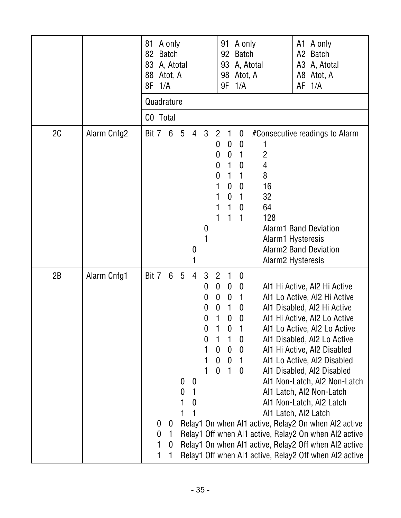|    |             | 81<br>83<br>88<br>8F | A only<br>82 Batch<br>A, Atotal<br>Atot, A<br>1/A<br>Quadrature<br>CO Total |                                          |                                                           |                                                |                                                                                                      | 91<br>92<br>93<br>98<br>9F                                                                                           | A only<br><b>Batch</b><br>Atot, A<br>1/A                                                                                                         | A, Atotal                                                                             | A1 A only<br>A2 Batch<br>A3 A, Atotal<br>A8 Atot, A<br>$AF$ 1/ $A$                                                                                                                                                                                                                                                                                                                                                                                                                                                                                                                                                                         |
|----|-------------|----------------------|-----------------------------------------------------------------------------|------------------------------------------|-----------------------------------------------------------|------------------------------------------------|------------------------------------------------------------------------------------------------------|----------------------------------------------------------------------------------------------------------------------|--------------------------------------------------------------------------------------------------------------------------------------------------|---------------------------------------------------------------------------------------|--------------------------------------------------------------------------------------------------------------------------------------------------------------------------------------------------------------------------------------------------------------------------------------------------------------------------------------------------------------------------------------------------------------------------------------------------------------------------------------------------------------------------------------------------------------------------------------------------------------------------------------------|
| 2C | Alarm Cnfg2 | Bit 7                | 6                                                                           | $5\overline{)}$                          | $\overline{4}$<br>$\boldsymbol{0}$<br>1                   | $3\phantom{.0}$<br>0                           | $\overline{2}$<br>0<br>0<br>0<br>0                                                                   | 1<br>$\mathbf 0$<br>$\boldsymbol{0}$<br>1<br>1<br>$\mathbf 0$<br>$\bf{0}$<br>1<br>1                                  | $\bf{0}$<br>$\mathbf{0}$<br>1<br>0<br>1<br>$\mathbf{0}$<br>1<br>$\mathbf{0}$<br>1                                                                | 2<br>4<br>8<br>16<br>32<br>64<br>128<br>Alarm1 Hysteresis<br><b>Alarm2 Hysteresis</b> | #Consecutive readings to Alarm<br><b>Alarm1 Band Deviation</b><br><b>Alarm2 Band Deviation</b>                                                                                                                                                                                                                                                                                                                                                                                                                                                                                                                                             |
| 2B | Alarm Cnfg1 | Bit 7                | $6\phantom{1}$<br>$\boldsymbol{0}$<br>0<br>0<br>1<br>1<br>0<br>1            | $5\phantom{.0}$<br>$\boldsymbol{0}$<br>0 | $\overline{4}$<br>$\boldsymbol{0}$<br>1<br>$\overline{0}$ | 3<br>0<br>0<br>0<br>0<br>0<br>0<br>1<br>1<br>1 | $\overline{2}$<br>$\boldsymbol{0}$<br>$\boldsymbol{0}$<br>$\mathbf 0$<br>1<br>0<br>0<br>$\mathbf{0}$ | $\bf{0}$<br>$\boldsymbol{0}$<br>1<br>$\bf{0}$<br>$\mathbf 0$<br>1<br>$\boldsymbol{0}$<br>$\mathbf 0$<br>$\mathbf{1}$ | $\mathbf 0$<br>$\boldsymbol{0}$<br>$\mathbf{1}$<br>$\bf{0}$<br>$\boldsymbol{0}$<br>$\boldsymbol{0}$<br>$\mathbf 0$<br>$\overline{1}$<br>$\bf{0}$ |                                                                                       | Al1 Hi Active, Al2 Hi Active<br>Al1 Lo Active, Al2 Hi Active<br>Al1 Disabled, Al2 Hi Active<br>Al1 Hi Active, Al2 Lo Active<br>Al1 Lo Active, Al2 Lo Active<br>Al1 Disabled, Al2 Lo Active<br>Al1 Hi Active, Al2 Disabled<br>Al1 Lo Active, Al2 Disabled<br>Al1 Disabled, Al2 Disabled<br>Al1 Non-Latch, Al2 Non-Latch<br>Al1 Latch, Al2 Non-Latch<br>Al1 Non-Latch, Al2 Latch<br>Al1 Latch, Al2 Latch<br>Relay1 On when Al1 active, Relay2 On when Al2 active<br>Relay1 Off when Al1 active, Relay2 On when Al2 active<br>Relay1 On when Al1 active, Relay2 Off when Al2 active<br>Relay1 Off when Al1 active, Relay2 Off when Al2 active |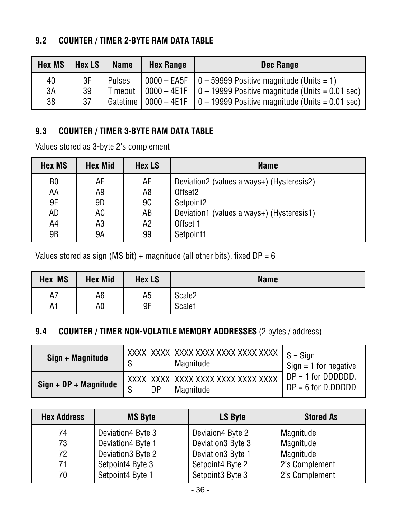#### **9.2 COUNTER / TIMER 2-BYTE RAM DATA TABLE**

| <b>Hex MS</b>  | Hex LS         | <b>Name</b>   | <b>Hex Range</b> | Dec Range                                                                                                                                                                                                                                         |
|----------------|----------------|---------------|------------------|---------------------------------------------------------------------------------------------------------------------------------------------------------------------------------------------------------------------------------------------------|
| 40<br>3A<br>38 | 3F<br>39<br>37 | <b>Pulses</b> |                  | $\vert 0000 - EASF \vert 0 - 59999$ Positive magnitude (Units = 1)<br>Timeout $\vert$ 0000 – 4E1F $\vert$ 0 – 19999 Positive magnitude (Units = 0.01 sec)<br>Gatetime $\vert$ 0000 – 4E1F $\vert$ 0 – 19999 Positive magnitude (Units = 0.01 sec) |

#### **9.3 COUNTER / TIMER 3-BYTE RAM DATA TABLE**

Values stored as 3-byte 2's complement

| <b>Hex MS</b>  | <b>Hex Mid</b> | <b>Hex LS</b> | <b>Name</b>                               |
|----------------|----------------|---------------|-------------------------------------------|
| B <sub>0</sub> | AF             | AE            | Deviation2 (values always+) (Hysteresis2) |
| AA             | A9             | A8            | Offset <sub>2</sub>                       |
| 9E             | 9D             | <b>9C</b>     | Setpoint2                                 |
| <b>AD</b>      | AC             | AB            | Deviation1 (values always+) (Hysteresis1) |
| A4             | A3             | Α2            | Offset 1                                  |
| 9 <sub>B</sub> | 9Α             | 99            | Setpoint1                                 |

Values stored as sign (MS bit) + magnitude (all other bits), fixed  $DP = 6$ 

| <b>MS</b><br>Hex | <b>Hex Mid</b> | <b>Hex LS</b>  | <b>Name</b>        |
|------------------|----------------|----------------|--------------------|
| A7               | A6             | A <sub>5</sub> | Scale <sub>2</sub> |
| A1               | A0             | 9F             | Scale1             |

#### **9.4 COUNTER / TIMER NON-VOLATILE MEMORY ADDRESSES** (2 bytes / address)

| Sign + Magnitude      |                | $\frac{1}{1}$ XXXX XXXX XXXX XXXX XXXX XXXX $\mid S =$ Sign<br>Magnitude | Sign = 1 for negative |
|-----------------------|----------------|--------------------------------------------------------------------------|-----------------------|
| Sign + DP + Magnitude | c              | XXXX XXXX XXXX XXXX XXXX XXXX XXXX                                       | $DP = 1$ for DDDDDD.  |
|                       | D <sub>P</sub> | Magnitude                                                                | $DP = 6$ for D.DDDDD  |

| <b>Hex Address</b> | <b>MS Byte</b>    | <b>LS Byte</b>               | <b>Stored As</b> |
|--------------------|-------------------|------------------------------|------------------|
| 74                 | Deviation4 Byte 3 | Deviaion4 Byte 2             | Magnitude        |
| 73                 | Deviation4 Byte 1 | Deviation3 Byte 3            | Magnitude        |
| 72                 | Deviation3 Byte 2 | Deviation3 Byte 1            | Magnitude        |
| 71                 | Setpoint4 Byte 3  | Setpoint4 Byte 2             | 2's Complement   |
| 70                 | Setpoint4 Byte 1  | Setpoint <sub>3</sub> Byte 3 | 2's Complement   |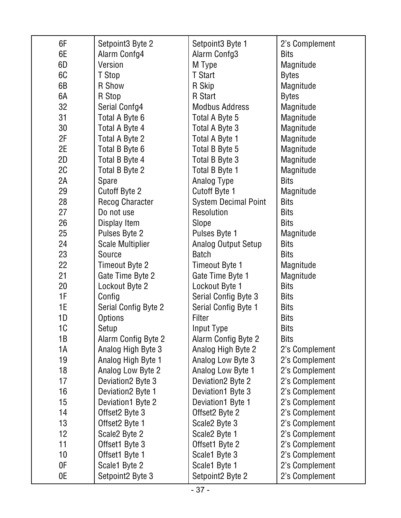| 6F              | Setpoint3 Byte 2           | Setpoint3 Byte 1            | 2's Complement |
|-----------------|----------------------------|-----------------------------|----------------|
| 6E              | Alarm Confg4               | Alarm Confg3                | <b>Bits</b>    |
| 6D              | Version                    | M Type                      | Magnitude      |
| 6C              | T Stop                     | T Start                     | <b>Bytes</b>   |
| 6B              | R Show                     | R Skip                      | Magnitude      |
| 6A              | R Stop                     | R Start                     | <b>Bytes</b>   |
| 32              | Serial Confg4              | <b>Modbus Address</b>       | Magnitude      |
| 31              | Total A Byte 6             | Total A Byte 5              | Magnitude      |
| 30              | Total A Byte 4             | Total A Byte 3              | Magnitude      |
| 2F              | Total A Byte 2             | Total A Byte 1              | Magnitude      |
| 2E              | Total B Byte 6             | Total B Byte 5              | Magnitude      |
| 2D              | Total B Byte 4             | Total B Byte 3              | Magnitude      |
| 2C              | Total B Byte 2             | Total B Byte 1              | Magnitude      |
| 2A              | Spare                      | Analog Type                 | <b>Bits</b>    |
| 29              | <b>Cutoff Byte 2</b>       | Cutoff Byte 1               | Magnitude      |
| 28              | <b>Recog Character</b>     | <b>System Decimal Point</b> | <b>Bits</b>    |
| 27              | Do not use                 | Resolution                  | <b>Bits</b>    |
| 26              | Display Item               | Slope                       | <b>Bits</b>    |
| 25              | Pulses Byte 2              | Pulses Byte 1               | Magnitude      |
| 24              | <b>Scale Multiplier</b>    | <b>Analog Output Setup</b>  | <b>Bits</b>    |
| 23              | Source                     | <b>Batch</b>                | <b>Bits</b>    |
| 22              | Timeout Byte 2             | Timeout Byte 1              | Magnitude      |
| 21              | Gate Time Byte 2           | Gate Time Byte 1            | Magnitude      |
| 20              | Lockout Byte 2             | Lockout Byte 1              | <b>Bits</b>    |
| 1F              | Config                     | Serial Config Byte 3        | <b>Bits</b>    |
| 1E              | Serial Config Byte 2       | Serial Config Byte 1        | <b>Bits</b>    |
| 1D              | <b>Options</b>             | Filter                      | <b>Bits</b>    |
| 1C              | Setup                      | Input Type                  | <b>Bits</b>    |
| 1B              | <b>Alarm Config Byte 2</b> | Alarm Config Byte 2         | <b>Bits</b>    |
| 1A              | Analog High Byte 3         | Analog High Byte 2          | 2's Complement |
| 19              | Analog High Byte 1         | Analog Low Byte 3           | 2's Complement |
| 18              | Analog Low Byte 2          | Analog Low Byte 1           | 2's Complement |
| 17              | Deviation2 Byte 3          | Deviation2 Byte 2           | 2's Complement |
| 16              | Deviation2 Byte 1          | Deviation1 Byte 3           | 2's Complement |
| 15              | Deviation1 Byte 2          | Deviation1 Byte 1           | 2's Complement |
| 14              | Offset2 Byte 3             | Offset2 Byte 2              | 2's Complement |
| 13              | Offset2 Byte 1             | Scale2 Byte 3               | 2's Complement |
| 12              | Scale2 Byte 2              | Scale2 Byte 1               | 2's Complement |
| 11              | Offset1 Byte 3             | Offset1 Byte 2              | 2's Complement |
| 10 <sup>1</sup> | Offset1 Byte 1             | Scale1 Byte 3               | 2's Complement |
| 0F              | Scale1 Byte 2              | Scale1 Byte 1               | 2's Complement |
| 0E              | Setpoint2 Byte 3           | Setpoint2 Byte 2            | 2's Complement |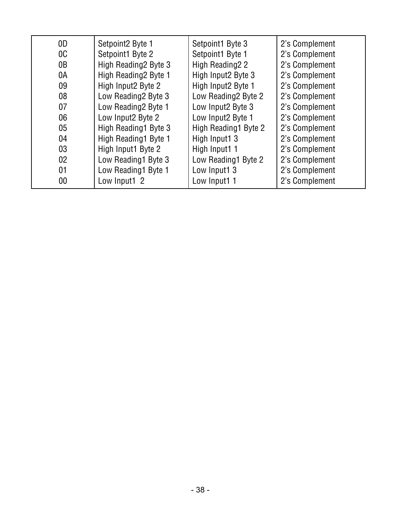| 0D              | Setpoint2 Byte 1     | Setpoint1 Byte 3     | 2's Complement |
|-----------------|----------------------|----------------------|----------------|
| 0 <sup>C</sup>  | Setpoint1 Byte 2     | Setpoint1 Byte 1     | 2's Complement |
| 0B              | High Reading2 Byte 3 | High Reading 22      | 2's Complement |
| 0A              | High Reading2 Byte 1 | High Input2 Byte 3   | 2's Complement |
| 09              | High Input2 Byte 2   | High Input2 Byte 1   | 2's Complement |
| 08              | Low Reading 2 Byte 3 | Low Reading 2Byte 2  | 2's Complement |
| 07              | Low Reading2 Byte 1  | Low Input2 Byte 3    | 2's Complement |
| 06              | Low Input2 Byte 2    | Low Input2 Byte 1    | 2's Complement |
| 05              | High Reading1 Byte 3 | High Reading1 Byte 2 | 2's Complement |
| 04              | High Reading1 Byte 1 | High Input1 3        | 2's Complement |
| 03              | High Input1 Byte 2   | High Input1 1        | 2's Complement |
| 02 <sub>2</sub> | Low Reading1 Byte 3  | Low Reading1 Byte 2  | 2's Complement |
| 01              | Low Reading1 Byte 1  | Low Input1 3         | 2's Complement |
| $00\,$          | Low Input1 2         | Low Input1 1         | 2's Complement |